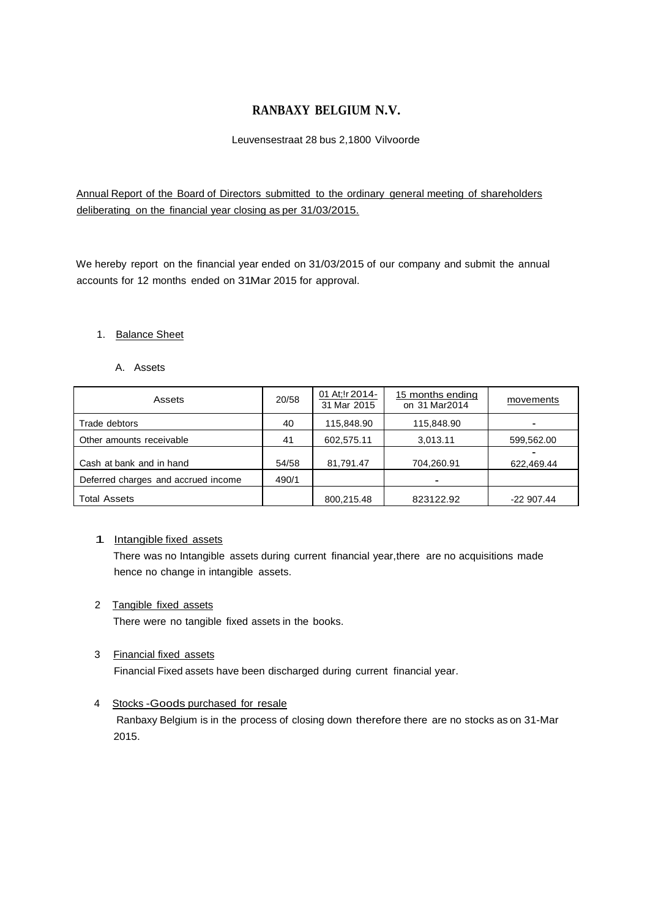## **RANBAXY BELGIUM N.V.**

## Leuvensestraat 28 bus 2,1800 Vilvoorde

Annual Report of the Board of Directors submitted to the ordinary general meeting of shareholders deliberating on the financial year closing as per 31/03/2015.

We hereby report on the financial year ended on 31/03/2015 of our company and submit the annual accounts for 12 months ended on 31Mar 2015 for approval.

## 1. Balance Sheet

## A. Assets

| Assets                              | 20/58 | 01 At: ! r 2014-<br>31 Mar 2015 | 15 months ending<br>on 31 Mar2014 | movements   |
|-------------------------------------|-------|---------------------------------|-----------------------------------|-------------|
| Trade debtors                       | 40    | 115,848.90                      | 115,848.90                        |             |
| Other amounts receivable            | 41    | 602,575.11                      | 3,013.11                          | 599,562.00  |
| Cash at bank and in hand            | 54/58 | 81,791.47                       | 704,260.91                        | 622,469.44  |
| Deferred charges and accrued income | 490/1 |                                 |                                   |             |
| <b>Total Assets</b>                 |       | 800,215.48                      | 823122.92                         | $-22907.44$ |

## 1 Intangible fixed assets

There was no Intangible assets during current financial year,there are no acquisitions made hence no change in intangible assets.

## 2 Tangible fixed assets

There were no tangible fixed assets in the books.

## 3 Financial fixed assets

Financial Fixed assets have been discharged during current financial year.

## 4 Stocks -Goods purchased for resale

Ranbaxy Belgium is in the process of closing down therefore there are no stocks as on 31-Mar 2015.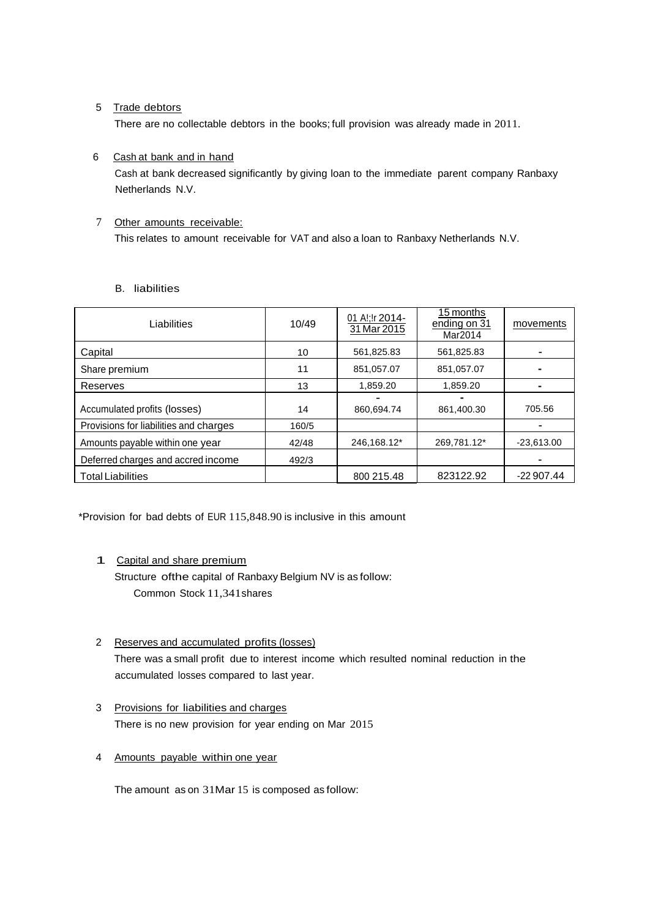## 5 Trade debtors

There are no collectable debtors in the books; full provision was already made in 2011.

## 6 Cash at bank and in hand

Cash at bank decreased significantly by giving loan to the immediate parent company Ranbaxy Netherlands N.V.

# 7 Other amounts receivable:

This relates to amount receivable for VAT and also a loan to Ranbaxy Netherlands N.V.

## B. liabilities

| Liabilities                            | 10/49 | 01 Al; Ir 2014-<br>31 Mar 2015 | 15 months<br>ending on 31<br>Mar2014 | movements    |
|----------------------------------------|-------|--------------------------------|--------------------------------------|--------------|
| Capital                                | 10    | 561.825.83                     | 561,825.83                           |              |
| Share premium                          | 11    | 851,057.07                     | 851,057.07                           |              |
| Reserves                               | 13    | 1.859.20                       | 1,859.20                             |              |
| Accumulated profits (losses)           | 14    | 860,694.74                     | 861,400.30                           | 705.56       |
| Provisions for liabilities and charges | 160/5 |                                |                                      |              |
| Amounts payable within one year        | 42/48 | 246,168.12*                    | 269,781.12*                          | $-23,613.00$ |
| Deferred charges and accred income     | 492/3 |                                |                                      |              |
| <b>Total Liabilities</b>               |       | 800 215.48                     | 823122.92                            | $-22907.44$  |

\*Provision for bad debts of EUR 115,848.90 is inclusive in this amount

## 1 Capital and share premium

Structure ofthe capital of Ranbaxy Belgium NV is as follow: Common Stock 11,341shares

## 2 Reserves and accumulated profits (losses) There was a small profit due to interest income which resulted nominal reduction in the accumulated losses compared to last year.

- 3 Provisions for liabilities and charges There is no new provision for year ending on Mar 2015
- 4 Amounts payable within one year

The amount as on 31Mar 15 is composed as follow: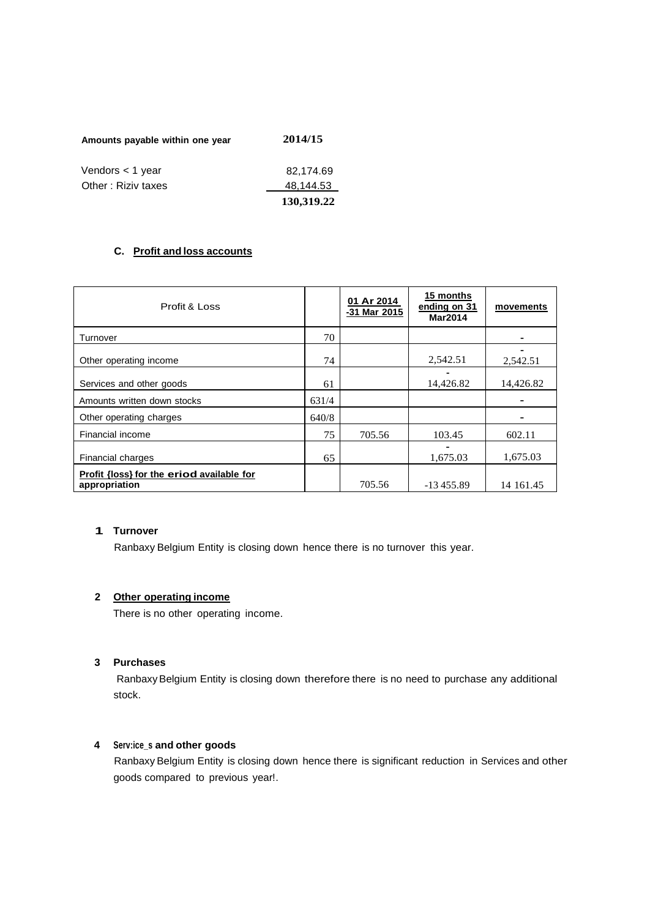| Amounts payable within one year | 2014/15    |
|---------------------------------|------------|
| Vendors $<$ 1 year              | 82,174.69  |
| Other: Riziv taxes              | 48,144.53  |
|                                 | 130,319.22 |

## **C. Profit and loss accounts**

| Profit & Loss                                              |       | 01 Ar 2014<br>-31 Mar 2015 | 15 months<br>ending on 31<br><b>Mar2014</b> | movements |
|------------------------------------------------------------|-------|----------------------------|---------------------------------------------|-----------|
| Turnover                                                   | 70    |                            |                                             |           |
| Other operating income                                     | 74    |                            | 2,542.51                                    | 2,542.51  |
| Services and other goods                                   | 61    |                            | 14,426.82                                   | 14,426.82 |
| Amounts written down stocks                                | 631/4 |                            |                                             |           |
| Other operating charges                                    | 640/8 |                            |                                             |           |
| Financial income                                           | 75    | 705.56                     | 103.45                                      | 602.11    |
| Financial charges                                          | 65    |                            | 1,675.03                                    | 1,675.03  |
| Profit {loss} for the eriod available for<br>appropriation |       | 705.56                     | $-13455.89$                                 | 14 161.45 |

## **1 Turnover**

Ranbaxy Belgium Entity is closing down hence there is no turnover this year.

## **2 Other operating income**

There is no other operating income.

## **3 Purchases**

RanbaxyBelgium Entity is closing down therefore there is no need to purchase any additional stock.

## **4 Serv:ice\_s and other goods**

Ranbaxy Belgium Entity is closing down hence there is significant reduction in Services and other goods compared to previous year!.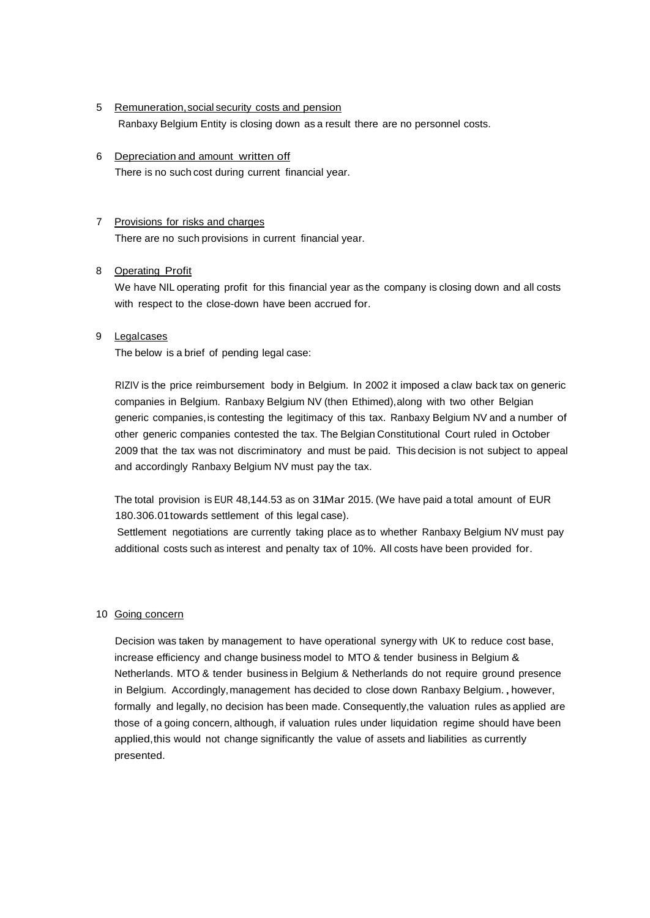- 5 Remuneration,social security costs and pension Ranbaxy Belgium Entity is closing down as a result there are no personnel costs.
- 6 Depreciation and amount written off There is no such cost during current financial year.

## 7 Provisions for risks and charges

There are no such provisions in current financial year.

## 8 Operating Profit

We have NIL operating profit for this financial year as the company is closing down and all costs with respect to the close-down have been accrued for.

## 9 Legalcases

The below is a brief of pending legal case:

RIZIV is the price reimbursement body in Belgium. In 2002 it imposed a claw back tax on generic companies in Belgium. Ranbaxy Belgium NV (then Ethimed),along with two other Belgian generic companies, is contesting the legitimacy of this tax. Ranbaxy Belgium NV and a number of other generic companies contested the tax. The Belgian Constitutional Court ruled in October 2009 that the tax was not discriminatory and must be paid. This decision is not subject to appeal and accordingly Ranbaxy Belgium NV must pay the tax.

The total provision is EUR 48,144.53 as on 31Mar 2015. (We have paid a total amount of EUR 180.306.01towards settlement of this legal case).

Settlement negotiations are currently taking place as to whether Ranbaxy Belgium NV must pay additional costs such as interest and penalty tax of 10%. All costs have been provided for.

## 10 Going concern

Decision was taken by management to have operational synergy with UK to reduce cost base, increase efficiency and change business model to MTO & tender business in Belgium & Netherlands. MTO & tender business in Belgium & Netherlands do not require ground presence in Belgium. Accordingly, management has decided to close down Ranbaxy Belgium., however, formally and legally, no decision has been made. Consequently,the valuation rules as applied are those of a going concern, although, if valuation rules under liquidation regime should have been applied,this would not change significantly the value of assets and liabilities as currently presented.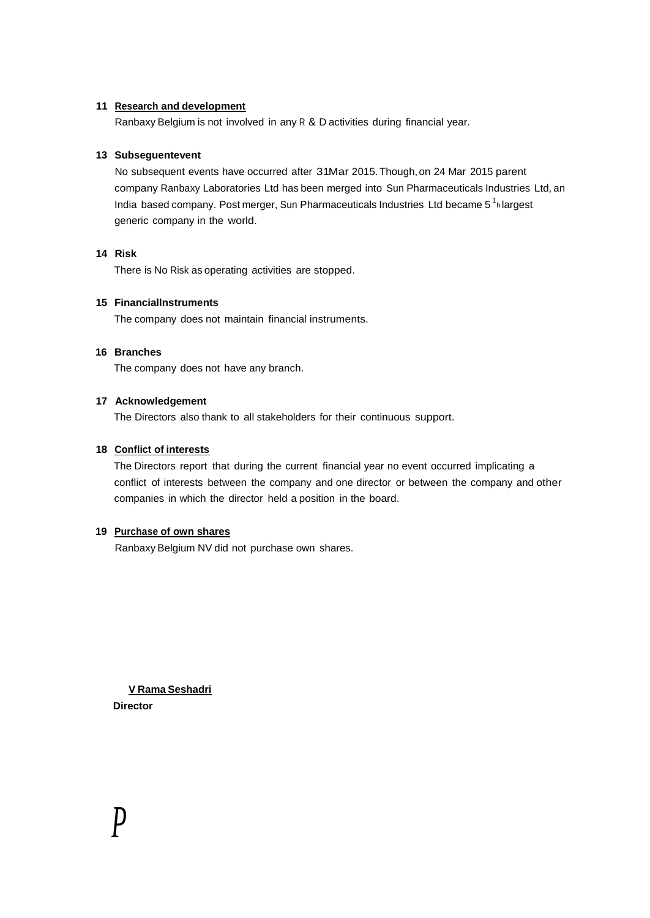## **11 Research and development**

Ranbaxy Belgium is not involved in any R & D activities during financial year.

## **13 Subseguentevent**

India based company. Post merger, Sun Pharmaceuticals Industries Ltd became 5<sup>1</sup><sub>h</sub>largest No subsequent events have occurred after 31Mar 2015.Though,on 24 Mar 2015 parent company Ranbaxy Laboratories Ltd has been merged into Sun Pharmaceuticals Industries Ltd, an generic company in the world.

## **14 Risk**

There is No Risk as operating activities are stopped.

## **15 Financiallnstruments**

The company does not maintain financial instruments.

## **16 Branches**

The company does not have any branch.

## **17 Acknowledgement**

The Directors also thank to all stakeholders for their continuous support.

## **18 Conflict of interests**

The Directors report that during the current financial year no event occurred implicating a conflict of interests between the company and one director or between the company and other companies in which the director held a position in the board.

## **19 Purchase of own shares**

Ranbaxy Belgium NV did not purchase own shares.

**V Rama Seshadri Director**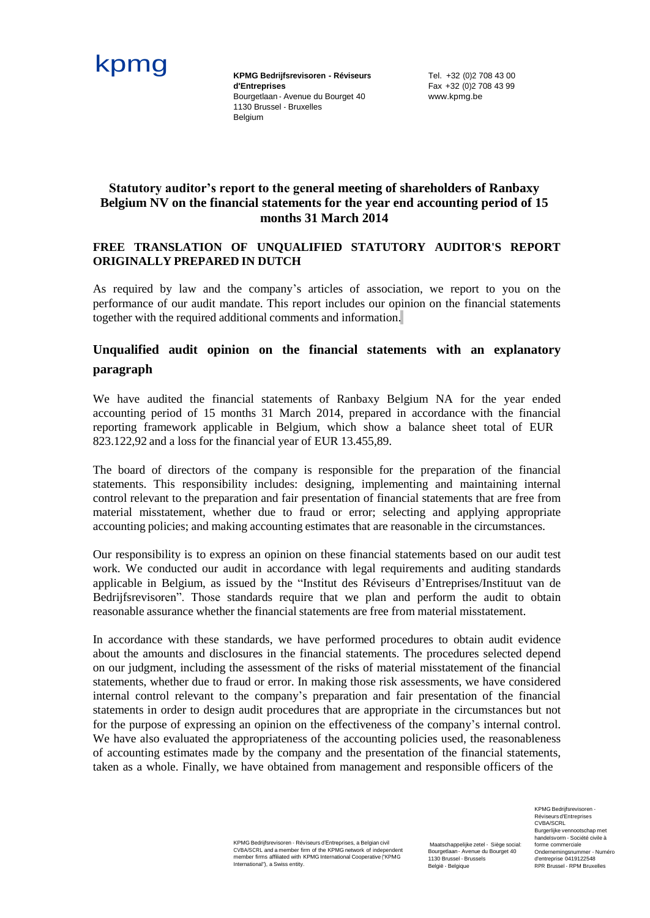

**d'Entreprises** Bourgetlaan - Avenue du Bourget 40 1130 Brussel - Bruxelles Belgium

Tel. +32 (0)2 708 43 00 Fax +32 (0)2 708 43 99 [www.kpmg.be](http://www.kpmg.be/)

## **Statutory auditor's report to the general meeting of shareholders of Ranbaxy Belgium NV on the financial statements for the year end accounting period of 15 months 31 March 2014**

## **FREE TRANSLATION OF UNQUALIFIED STATUTORY AUDITOR'S REPORT ORIGINALLY PREPARED IN DUTCH**

As required by law and the company's articles of association, we report to you on the performance of our audit mandate. This report includes our opinion on the financial statements together with the required additional comments and information.

## **Unqualified audit opinion on the financial statements with an explanatory paragraph**

We have audited the financial statements of Ranbaxy Belgium NA for the year ended accounting period of 15 months 31 March 2014, prepared in accordance with the financial reporting framework applicable in Belgium, which show a balance sheet total of EUR 823.122,92 and a loss for the financial year of EUR 13.455,89.

The board of directors of the company is responsible for the preparation of the financial statements. This responsibility includes: designing, implementing and maintaining internal control relevant to the preparation and fair presentation of financial statements that are free from material misstatement, whether due to fraud or error; selecting and applying appropriate accounting policies; and making accounting estimates that are reasonable in the circumstances.

Our responsibility is to express an opinion on these financial statements based on our audit test work. We conducted our audit in accordance with legal requirements and auditing standards applicable in Belgium, as issued by the "Institut des Réviseurs d'Entreprises/Instituut van de Bedrijfsrevisoren". Those standards require that we plan and perform the audit to obtain reasonable assurance whether the financial statements are free from material misstatement.

In accordance with these standards, we have performed procedures to obtain audit evidence about the amounts and disclosures in the financial statements. The procedures selected depend on our judgment, including the assessment of the risks of material misstatement of the financial statements, whether due to fraud or error. In making those risk assessments, we have considered internal control relevant to the company's preparation and fair presentation of the financial statements in order to design audit procedures that are appropriate in the circumstances but not for the purpose of expressing an opinion on the effectiveness of the company's internal control. We have also evaluated the appropriateness of the accounting policies used, the reasonableness of accounting estimates made by the company and the presentation of the financial statements, taken as a whole. Finally, we have obtained from management and responsible officers of the

> KPMG Bedrijfsrevisoren - Réviseurs d'Entreprises, a Belgian civil CVBA/SCRL and a member firm of the KPMG network of independent member firms affiliated with KPMG International Cooperative ("KPMG International"), a Swiss entity.

Maatschappelijke zetel - Siège so Bourgetlaan - Avenue du Bourget 40 1130 Brussel - Brussels België - Belgique

KPMG Bedrijfsrevisoren - Réviseurs d'Entreprises CVBA/SCRL Burgerlijke vennootschap met handelsvorm - Société civile à forme commerciale Ondernemingsnummer - Numéro d'entreprise 0419122548 RPR Brussel - RPM Bruxelles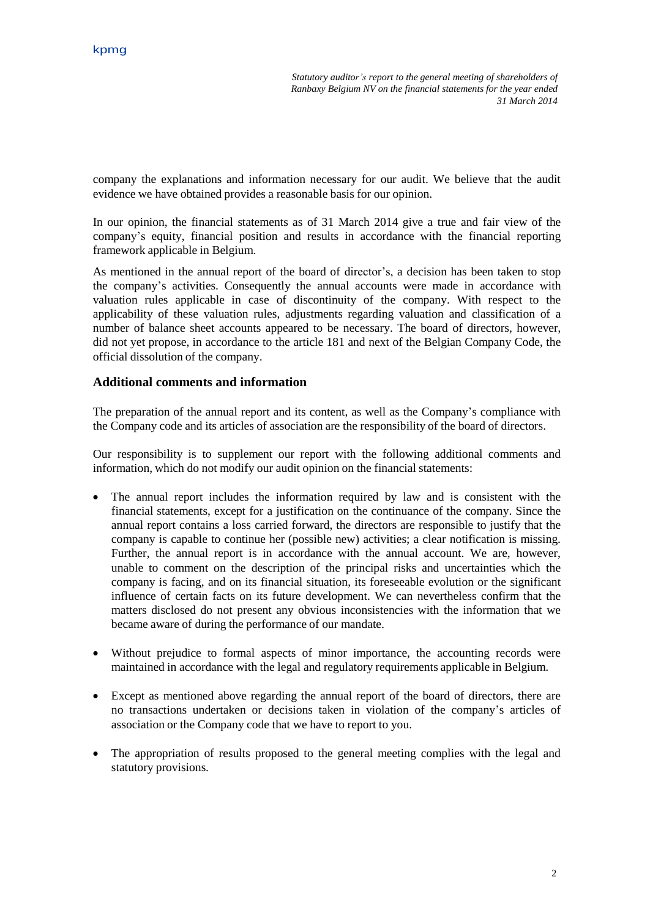*Statutory auditor's report to the general meeting of shareholders of Ranbaxy Belgium NV on the financial statements for the year ended 31 March 2014*

company the explanations and information necessary for our audit. We believe that the audit evidence we have obtained provides a reasonable basis for our opinion.

In our opinion, the financial statements as of 31 March 2014 give a true and fair view of the company's equity, financial position and results in accordance with the financial reporting framework applicable in Belgium.

As mentioned in the annual report of the board of director's, a decision has been taken to stop the company's activities. Consequently the annual accounts were made in accordance with valuation rules applicable in case of discontinuity of the company. With respect to the applicability of these valuation rules, adjustments regarding valuation and classification of a number of balance sheet accounts appeared to be necessary. The board of directors, however, did not yet propose, in accordance to the article 181 and next of the Belgian Company Code, the official dissolution of the company.

## **Additional comments and information**

The preparation of the annual report and its content, as well as the Company's compliance with the Company code and its articles of association are the responsibility of the board of directors.

Our responsibility is to supplement our report with the following additional comments and information, which do not modify our audit opinion on the financial statements:

- The annual report includes the information required by law and is consistent with the financial statements, except for a justification on the continuance of the company. Since the annual report contains a loss carried forward, the directors are responsible to justify that the company is capable to continue her (possible new) activities; a clear notification is missing. Further, the annual report is in accordance with the annual account. We are, however, unable to comment on the description of the principal risks and uncertainties which the company is facing, and on its financial situation, its foreseeable evolution or the significant influence of certain facts on its future development. We can nevertheless confirm that the matters disclosed do not present any obvious inconsistencies with the information that we became aware of during the performance of our mandate.
- Without prejudice to formal aspects of minor importance, the accounting records were maintained in accordance with the legal and regulatory requirements applicable in Belgium.
- Except as mentioned above regarding the annual report of the board of directors, there are no transactions undertaken or decisions taken in violation of the company's articles of association or the Company code that we have to report to you.
- The appropriation of results proposed to the general meeting complies with the legal and statutory provisions.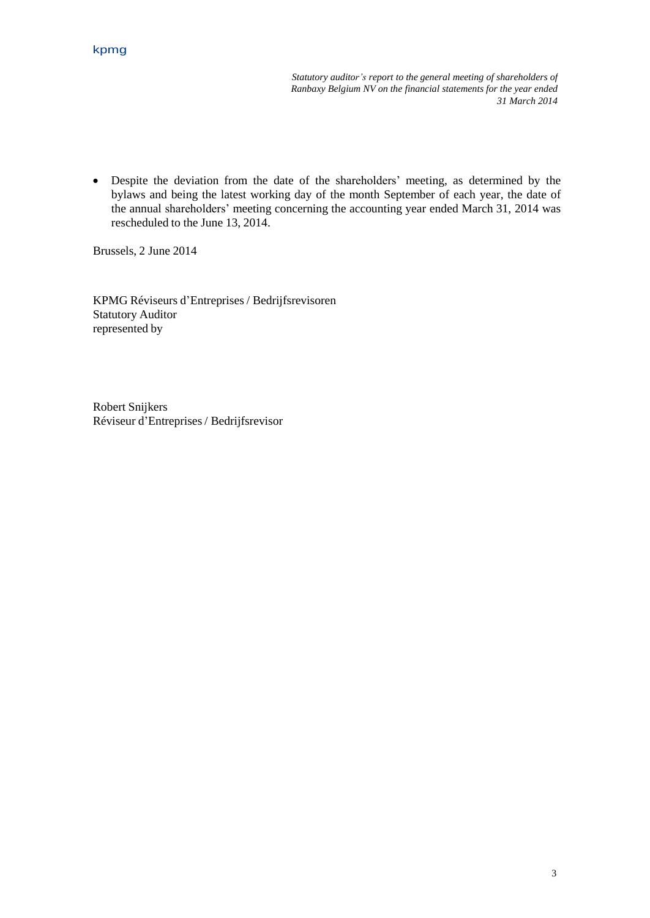*Statutory auditor's report to the general meeting of shareholders of Ranbaxy Belgium NV on the financial statements for the year ended 31 March 2014*

 Despite the deviation from the date of the shareholders' meeting, as determined by the bylaws and being the latest working day of the month September of each year, the date of the annual shareholders' meeting concerning the accounting year ended March 31, 2014 was rescheduled to the June 13, 2014.

Brussels, 2 June 2014

KPMG Réviseurs d'Entreprises/ Bedrijfsrevisoren Statutory Auditor represented by

Robert Snijkers Réviseur d'Entreprises/ Bedrijfsrevisor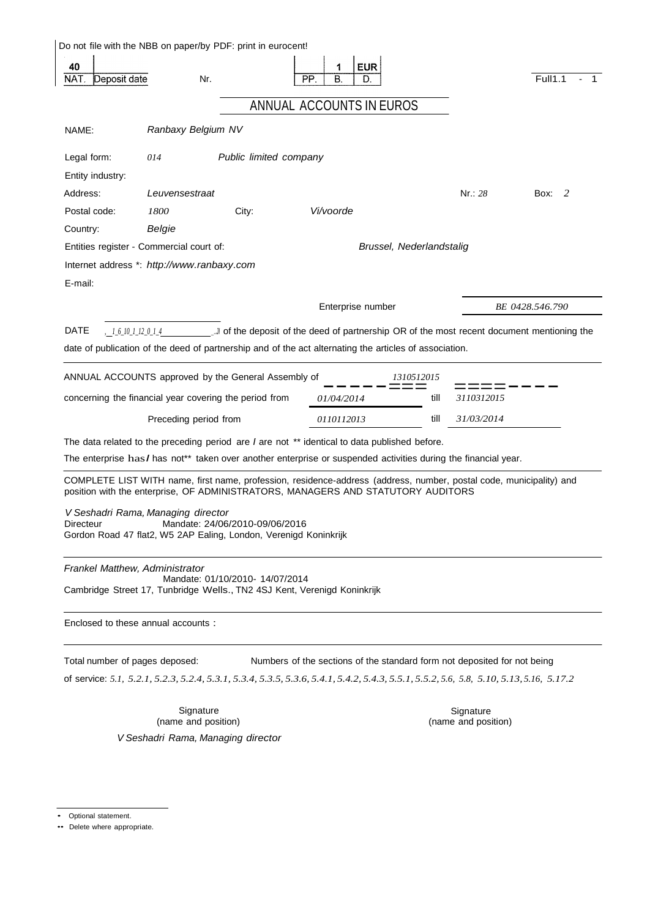| NAT.<br>Deposit date                            |                       | Nr.                                                                                                | <b>EUR</b><br>1<br>В.<br>PP.<br>D.                                                                                                                                                                      |            |                     | <b>Full1.1</b>  |
|-------------------------------------------------|-----------------------|----------------------------------------------------------------------------------------------------|---------------------------------------------------------------------------------------------------------------------------------------------------------------------------------------------------------|------------|---------------------|-----------------|
|                                                 |                       |                                                                                                    |                                                                                                                                                                                                         |            |                     |                 |
|                                                 |                       |                                                                                                    | ANNUAL ACCOUNTS IN EUROS                                                                                                                                                                                |            |                     |                 |
| NAME:                                           | Ranbaxy Belgium NV    |                                                                                                    |                                                                                                                                                                                                         |            |                     |                 |
| Legal form:                                     | 014                   | Public limited company                                                                             |                                                                                                                                                                                                         |            |                     |                 |
| Entity industry:                                |                       |                                                                                                    |                                                                                                                                                                                                         |            |                     |                 |
| Address:                                        | Leuvensestraat        |                                                                                                    |                                                                                                                                                                                                         |            | Nr: 28              | 2<br>Box:       |
| Postal code:                                    | 1800                  | City:                                                                                              | Vi/voorde                                                                                                                                                                                               |            |                     |                 |
| Country:                                        | Belgie                |                                                                                                    |                                                                                                                                                                                                         |            |                     |                 |
| Entities register - Commercial court of:        |                       |                                                                                                    | Brussel, Nederlandstalig                                                                                                                                                                                |            |                     |                 |
| Internet address *: http://www.ranbaxy.com      |                       |                                                                                                    |                                                                                                                                                                                                         |            |                     |                 |
| E-mail:                                         |                       |                                                                                                    |                                                                                                                                                                                                         |            |                     |                 |
|                                                 |                       |                                                                                                    | Enterprise number                                                                                                                                                                                       |            |                     | BE 0428.546.790 |
| DATE                                            |                       |                                                                                                    |                                                                                                                                                                                                         |            |                     |                 |
| , 1610112014                                    |                       |                                                                                                    | of the deposit of the deed of partnership OR of the most recent document mentioning the                                                                                                                 |            |                     |                 |
|                                                 |                       |                                                                                                    | date of publication of the deed of partnership and of the act alternating the articles of association.                                                                                                  |            |                     |                 |
|                                                 |                       | ANNUAL ACCOUNTS approved by the General Assembly of                                                |                                                                                                                                                                                                         | 1310512015 |                     |                 |
|                                                 |                       | concerning the financial year covering the period from                                             | 01/04/2014                                                                                                                                                                                              | till       | 3110312015          |                 |
|                                                 | Preceding period from |                                                                                                    | 0110112013                                                                                                                                                                                              | till       | 31/03/2014          |                 |
|                                                 |                       |                                                                                                    | The data related to the preceding period are I are not ** identical to data published before.                                                                                                           |            |                     |                 |
|                                                 |                       |                                                                                                    | The enterprise has I has not** taken over another enterprise or suspended activities during the financial year.                                                                                         |            |                     |                 |
|                                                 |                       |                                                                                                    |                                                                                                                                                                                                         |            |                     |                 |
|                                                 |                       |                                                                                                    | COMPLETE LIST WITH name, first name, profession, residence-address (address, number, postal code, municipality) and<br>position with the enterprise, OF ADMINISTRATORS, MANAGERS AND STATUTORY AUDITORS |            |                     |                 |
| V Seshadri Rama, Managing director<br>Directeur |                       | Mandate: 24/06/2010-09/06/2016<br>Gordon Road 47 flat2, W5 2AP Ealing, London, Verenigd Koninkrijk |                                                                                                                                                                                                         |            |                     |                 |
|                                                 |                       |                                                                                                    |                                                                                                                                                                                                         |            |                     |                 |
| Frankel Matthew, Administrator                  |                       |                                                                                                    |                                                                                                                                                                                                         |            |                     |                 |
|                                                 |                       | Mandate: 01/10/2010- 14/07/2014                                                                    | Cambridge Street 17, Tunbridge Wells., TN2 4SJ Kent, Verenigd Koninkrijk                                                                                                                                |            |                     |                 |
| Enclosed to these annual accounts :             |                       |                                                                                                    |                                                                                                                                                                                                         |            |                     |                 |
|                                                 |                       |                                                                                                    |                                                                                                                                                                                                         |            |                     |                 |
|                                                 |                       |                                                                                                    | Numbers of the sections of the standard form not deposited for not being                                                                                                                                |            |                     |                 |
|                                                 |                       |                                                                                                    | of service: 5.1, 5.2.1, 5.2.3, 5.2.4, 5.3.1, 5.3.4, 5.3.5, 5.3.6, 5.4.1, 5.4.2, 5.4.3, 5.5.1, 5.5.2, 5.6, 5.8, 5.10, 5.13, 5.16, 5.17.2                                                                 |            |                     |                 |
| Total number of pages deposed:                  |                       | Signature                                                                                          |                                                                                                                                                                                                         |            | Signature           |                 |
|                                                 |                       | (name and position)<br>V Seshadri Rama, Managing director                                          |                                                                                                                                                                                                         |            | (name and position) |                 |

<sup>•</sup> Optional statement.

<sup>••</sup> Delete where appropriate.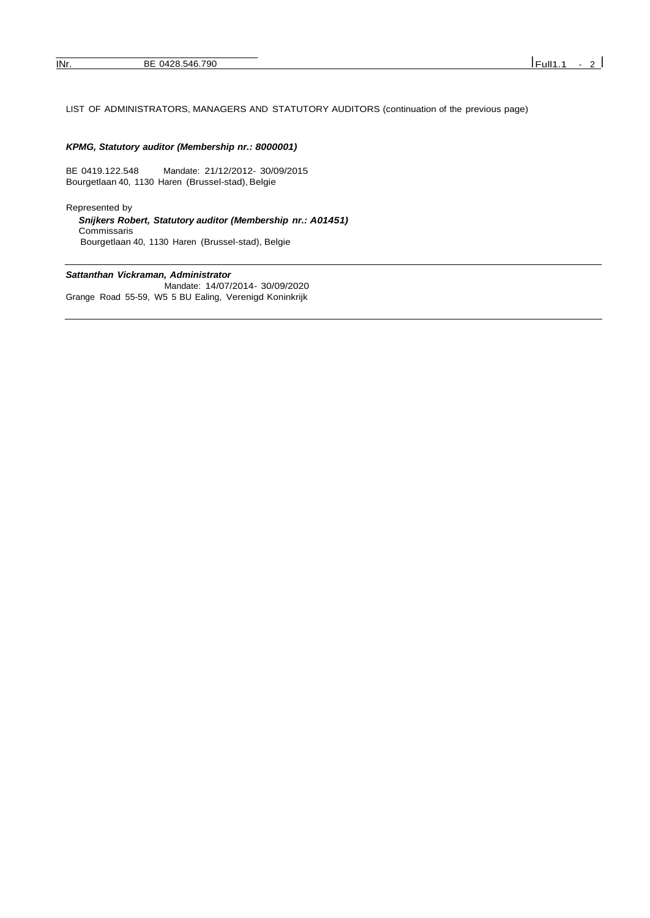### LIST OF ADMINISTRATORS, MANAGERS AND STATUTORY AUDITORS (continuation of the previous page)

#### *KPMG, Statutory auditor (Membership nr.: 8000001)*

BE 0419.122.548 Mandate: 21/12/2012- 30/09/2015 Bourgetlaan 40, 1130 Haren (Brussel-stad), Belgie

Represented by *Snijkers Robert, Statutory auditor (Membership nr.: A01451)* Commissaris Bourgetlaan 40, 1130 Haren (Brussel-stad), Belgie

#### *Sattanthan Vickraman, Administrator*

Mandate: 14/07/2014- 30/09/2020 Grange Road 55-59, W5 5 BU Ealing, Verenigd Koninkrijk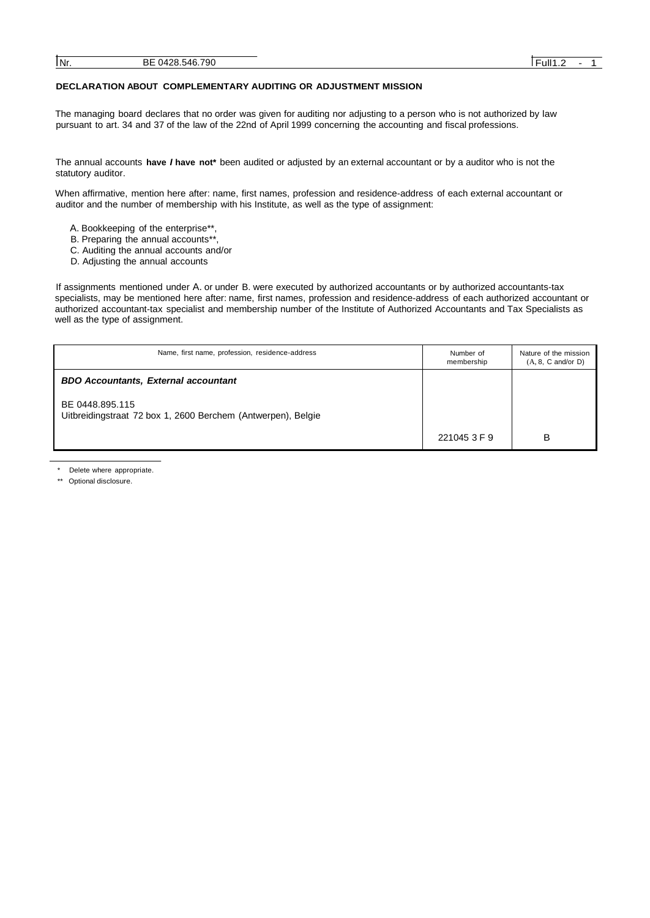#### **DECLARATION ABOUT COMPLEMENTARY AUDITING OR ADJUSTMENT MISSION**

The managing board declares that no order was given for auditing nor adjusting to a person who is not authorized by law pursuant to art. 34 and 37 of the law of the 22nd of April 1999 concerning the accounting and fiscal professions.

The annual accounts **have** *I* **have not\*** been audited or adjusted by an external accountant or by a auditor who is not the statutory auditor.

When affirmative, mention here after: name, first names, profession and residence-address of each external accountant or auditor and the number of membership with his Institute, as well as the type of assignment:

- A. Bookkeeping of the enterprise\*\*,
- B. Preparing the annual accounts\*\*
- C. Auditing the annual accounts and/or
- D. Adjusting the annual accounts

If assignments mentioned under A. or under B. were executed by authorized accountants or by authorized accountants-tax specialists, may be mentioned here after: name, first names, profession and residence-address of each authorized accountant or authorized accountant-tax specialist and membership number of the Institute of Authorized Accountants and Tax Specialists as well as the type of assignment.

| Name, first name, profession, residence-address                                 | Number of<br>membership | Nature of the mission<br>$(A, 8, C \text{ and/or } D)$ |
|---------------------------------------------------------------------------------|-------------------------|--------------------------------------------------------|
| <b>BDO Accountants, External accountant</b>                                     |                         |                                                        |
| BE 0448.895.115<br>Uitbreidingstraat 72 box 1, 2600 Berchem (Antwerpen), Belgie |                         |                                                        |
|                                                                                 | 221045 3 F 9            | B                                                      |

Delete where appropriate.

\*\* Optional disclosure.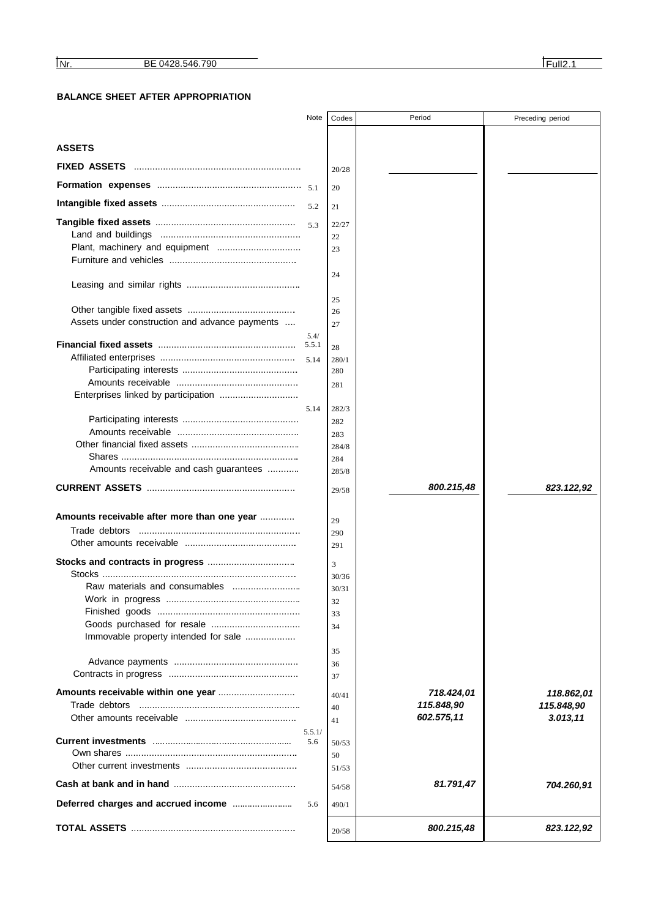## **BALANCE SHEET AFTER APPROPRIATION**

|                                                | Note          | Codes       | Period     | Preceding period |
|------------------------------------------------|---------------|-------------|------------|------------------|
|                                                |               |             |            |                  |
| <b>ASSETS</b>                                  |               |             |            |                  |
| <b>FIXED ASSETS</b>                            |               | 20/28       |            |                  |
|                                                |               | 20          |            |                  |
|                                                | 5.2           | 21          |            |                  |
|                                                |               |             |            |                  |
|                                                | 5.3           | 22/27<br>22 |            |                  |
|                                                |               | 23          |            |                  |
|                                                |               |             |            |                  |
|                                                |               | 24          |            |                  |
|                                                |               |             |            |                  |
|                                                |               | 25          |            |                  |
|                                                |               | 26          |            |                  |
| Assets under construction and advance payments |               | 27          |            |                  |
|                                                | 5.4/<br>5.5.1 | 28          |            |                  |
|                                                | 5.14          | 280/1       |            |                  |
|                                                |               | 280         |            |                  |
|                                                |               | 281         |            |                  |
| Enterprises linked by participation            |               |             |            |                  |
|                                                | 5.14          | 282/3       |            |                  |
|                                                |               | 282         |            |                  |
|                                                |               | 283         |            |                  |
|                                                |               | 284/8       |            |                  |
|                                                |               | 284         |            |                  |
| Amounts receivable and cash guarantees         |               | 285/8       |            |                  |
|                                                |               | 29/58       | 800.215,48 | 823.122,92       |
|                                                |               |             |            |                  |
| Amounts receivable after more than one year    |               | 29          |            |                  |
| Trade debtors                                  |               | 290         |            |                  |
|                                                |               | 291         |            |                  |
|                                                |               | 3           |            |                  |
|                                                |               | 30/36       |            |                  |
|                                                |               | 30/31       |            |                  |
|                                                |               | 32          |            |                  |
|                                                |               | 33          |            |                  |
|                                                |               | 34          |            |                  |
| Immovable property intended for sale           |               |             |            |                  |
|                                                |               | 35          |            |                  |
|                                                |               | 36          |            |                  |
|                                                |               | 37          |            |                  |
|                                                |               | 40/41       | 718.424,01 | 118.862,01       |
| Trade debtors                                  |               | 40          | 115.848,90 | 115.848,90       |
|                                                |               | 41          | 602.575,11 | 3.013, 11        |
|                                                | 5.5.1/        |             |            |                  |
|                                                | 5.6           | 50/53       |            |                  |
|                                                |               | 50          |            |                  |
|                                                |               | 51/53       |            |                  |
|                                                |               | 54/58       | 81.791,47  | 704.260,91       |
|                                                | 5.6           | 490/1       |            |                  |
|                                                |               | 20/58       | 800.215,48 | 823.122,92       |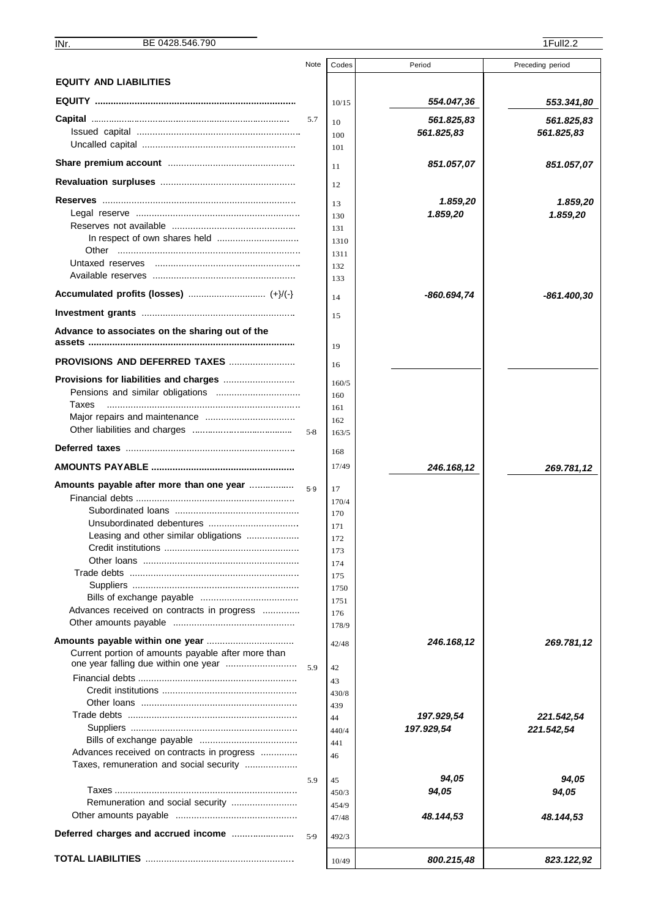|                                                                                            | Note  | Codes        | Period      | Preceding period |
|--------------------------------------------------------------------------------------------|-------|--------------|-------------|------------------|
| <b>EQUITY AND LIABILITIES</b>                                                              |       |              |             |                  |
|                                                                                            |       | 10/15        | 554.047,36  | 553.341,80       |
|                                                                                            | 5.7   |              | 561.825,83  | 561.825,83       |
|                                                                                            |       | 10<br>100    | 561.825,83  | 561.825,83       |
|                                                                                            |       | 101          |             |                  |
|                                                                                            |       | 11           | 851.057,07  | 851.057,07       |
|                                                                                            |       | 12           |             |                  |
|                                                                                            |       |              |             |                  |
|                                                                                            |       | 13           | 1.859,20    | 1.859,20         |
|                                                                                            |       | 130          | 1.859,20    | 1.859,20         |
|                                                                                            |       | 131<br>1310  |             |                  |
|                                                                                            |       | 1311         |             |                  |
|                                                                                            |       | 132          |             |                  |
|                                                                                            |       | 133          |             |                  |
| Accumulated profits (losses)  (+}/(-}                                                      |       | 14           | -860.694,74 | -861.400,30      |
|                                                                                            |       | 15           |             |                  |
| Advance to associates on the sharing out of the                                            |       | 19           |             |                  |
| <b>PROVISIONS AND DEFERRED TAXES </b>                                                      |       | 16           |             |                  |
|                                                                                            |       | 160/5        |             |                  |
|                                                                                            |       | 160          |             |                  |
| Taxes                                                                                      |       | 161          |             |                  |
|                                                                                            | 5.8   | 162<br>163/5 |             |                  |
|                                                                                            |       | 168          |             |                  |
|                                                                                            |       | 17/49        | 246.168,12  | 269.781,12       |
| Amounts payable after more than one year                                                   | 5.9   | 17           |             |                  |
|                                                                                            |       | 170/4        |             |                  |
|                                                                                            |       | 170          |             |                  |
|                                                                                            |       | 171          |             |                  |
| Leasing and other similar obligations                                                      |       | 172          |             |                  |
| Credit institutions                                                                        |       | 173          |             |                  |
|                                                                                            |       | 174          |             |                  |
|                                                                                            |       | 175<br>1750  |             |                  |
|                                                                                            |       | 1751         |             |                  |
| Advances received on contracts in progress                                                 |       | 176          |             |                  |
|                                                                                            |       | 178/9        |             |                  |
|                                                                                            |       | 42/48        | 246.168,12  | 269.781,12       |
| Current portion of amounts payable after more than<br>one year falling due within one year | 59    | 42           |             |                  |
|                                                                                            |       | 43           |             |                  |
|                                                                                            |       | 430/8        |             |                  |
|                                                                                            |       | 439          |             |                  |
|                                                                                            |       | 44           | 197.929,54  | 221.542,54       |
|                                                                                            |       | 440/4        | 197.929,54  | 221.542,54       |
| Advances received on contracts in progress                                                 |       | 441          |             |                  |
| Taxes, remuneration and social security                                                    |       | 46           |             |                  |
|                                                                                            | 5.9   | 45           | 94,05       | 94,05            |
|                                                                                            |       | 450/3        | 94,05       | 94,05            |
|                                                                                            |       | 454/9        |             |                  |
|                                                                                            |       | 47/48        | 48.144,53   | 48.144,53        |
|                                                                                            | $5-9$ | 492/3        |             |                  |
|                                                                                            |       | 10/49        | 800.215,48  | 823.122,92       |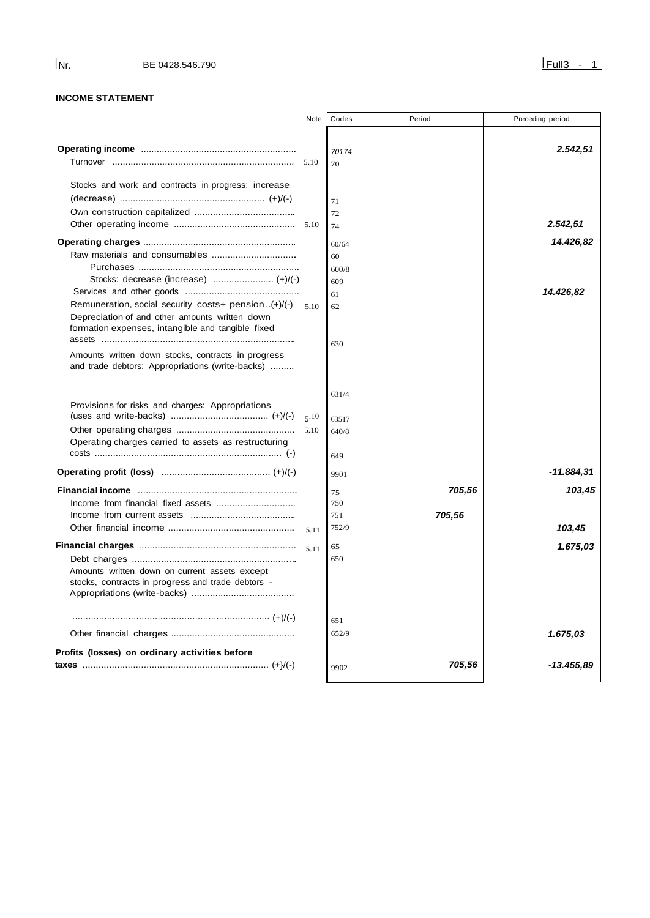**INF.** BE 0428.546.790

## **INCOME STATEMENT**

| Note | Codes                                                            | Period              | Preceding period                   |
|------|------------------------------------------------------------------|---------------------|------------------------------------|
|      | 70174                                                            |                     | 2.542,51                           |
| 5.10 | 71<br>72<br>74<br>60/64<br>60<br>600/8<br>609<br>61<br>62<br>630 |                     | 2.542,51<br>14.426,82<br>14.426,82 |
| 5.10 | 631/4<br>63517<br>640/8<br>649                                   |                     |                                    |
|      |                                                                  |                     | -11.884,31                         |
| 5.11 | 75<br>750<br>751<br>752/9                                        | 705,56              | 103,45<br>103,45                   |
|      | 65<br>650                                                        |                     | 1.675,03                           |
|      | 651                                                              |                     |                                    |
|      |                                                                  |                     | 1.675,03                           |
|      | 9902                                                             | 705,56              | -13.455,89                         |
|      |                                                                  | 70<br>9901<br>652/9 | 705,56                             |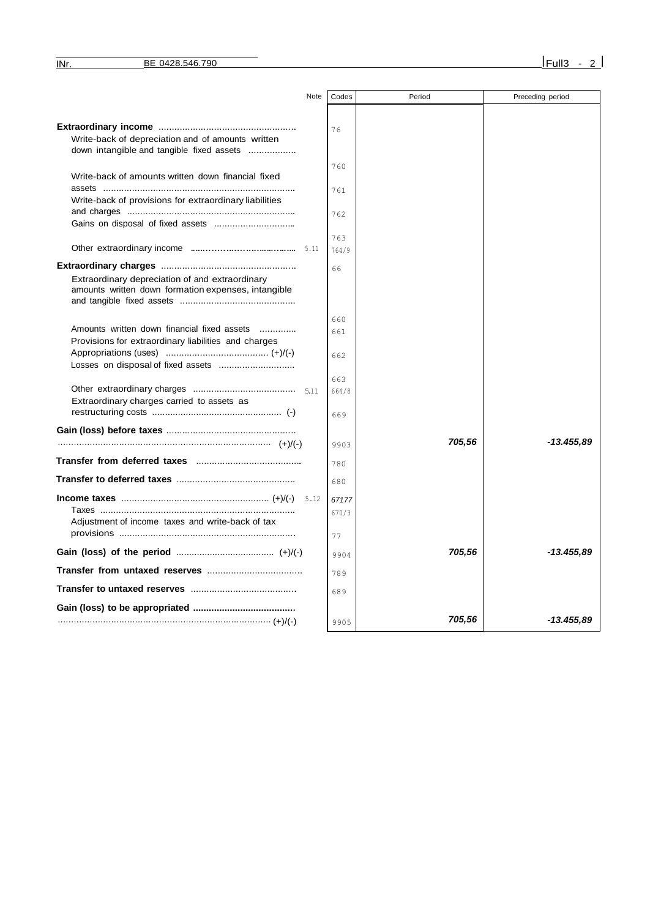|                                                                                                | Note | Codes | Period | Preceding period |
|------------------------------------------------------------------------------------------------|------|-------|--------|------------------|
|                                                                                                |      |       |        |                  |
|                                                                                                |      | 76    |        |                  |
| Write-back of depreciation and of amounts written<br>down intangible and tangible fixed assets |      |       |        |                  |
|                                                                                                |      | 760   |        |                  |
| Write-back of amounts written down financial fixed                                             |      |       |        |                  |
|                                                                                                |      | 761   |        |                  |
| Write-back of provisions for extraordinary liabilities                                         |      |       |        |                  |
|                                                                                                |      | 762   |        |                  |
|                                                                                                |      | 763   |        |                  |
|                                                                                                |      | 764/9 |        |                  |
|                                                                                                |      |       |        |                  |
|                                                                                                |      | 66    |        |                  |
| Extraordinary depreciation of and extraordinary                                                |      |       |        |                  |
| amounts written down formation expenses, intangible                                            |      |       |        |                  |
|                                                                                                |      |       |        |                  |
|                                                                                                |      | 660   |        |                  |
| Amounts written down financial fixed assets                                                    |      | 661   |        |                  |
| Provisions for extraordinary liabilities and charges                                           |      |       |        |                  |
|                                                                                                |      | 662   |        |                  |
|                                                                                                |      |       |        |                  |
|                                                                                                |      | 663   |        |                  |
| Extraordinary charges carried to assets as                                                     |      | 664/8 |        |                  |
|                                                                                                |      | 669   |        |                  |
|                                                                                                |      |       |        |                  |
|                                                                                                |      |       |        |                  |
|                                                                                                |      | 9903  | 705,56 | -13.455.89       |
|                                                                                                |      | 780   |        |                  |
|                                                                                                |      | 680   |        |                  |
|                                                                                                | 5.12 | 67177 |        |                  |
|                                                                                                |      | 670/3 |        |                  |
| Adjustment of income taxes and write-back of tax                                               |      |       |        |                  |
|                                                                                                |      | 77    |        |                  |
|                                                                                                |      | 9904  | 705,56 | -13.455.89       |
|                                                                                                |      | 789   |        |                  |
|                                                                                                |      |       |        |                  |
|                                                                                                |      | 689   |        |                  |
|                                                                                                |      |       |        |                  |
|                                                                                                |      | 9905  | 705,56 | -13.455,89       |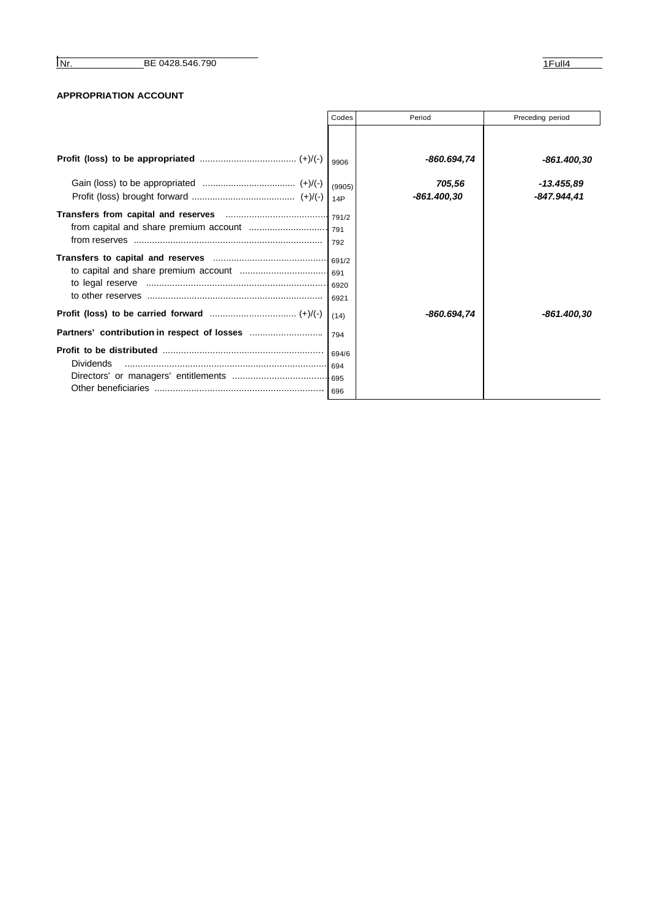## **APPROPRIATION ACCOUNT**

|                  | Codes         | Period                | Preceding period          |
|------------------|---------------|-----------------------|---------------------------|
|                  |               |                       |                           |
|                  | 9906          | -860.694,74           | -861.400.30               |
|                  | (9905)<br>14P | 705,56<br>-861.400.30 | -13.455,89<br>-847.944,41 |
|                  |               |                       |                           |
|                  |               |                       |                           |
|                  | (14)          | -860.694,74           | -861.400.30               |
|                  | 794           |                       |                           |
| <b>Dividends</b> |               |                       |                           |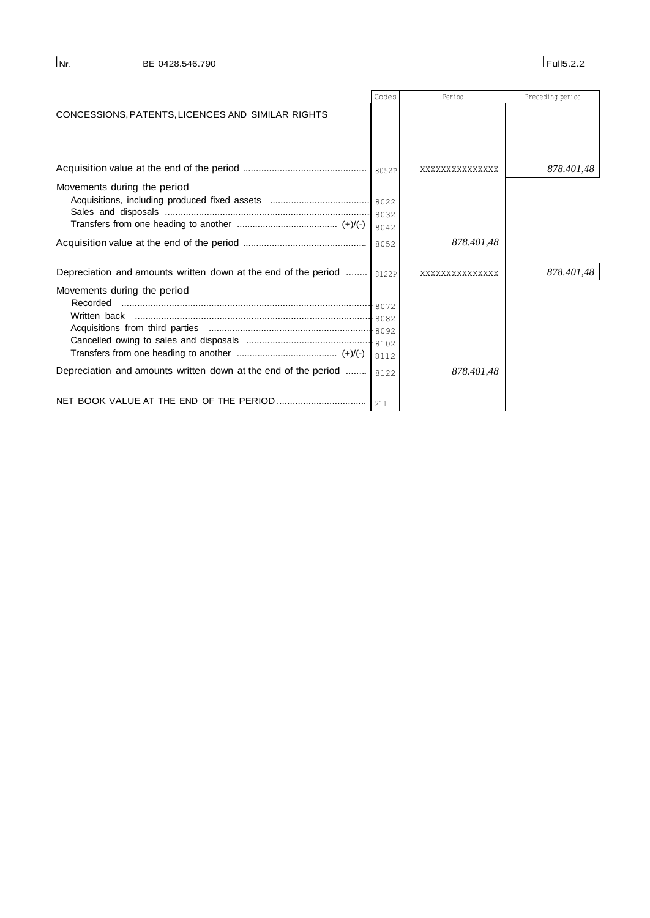| l Nr. | BE 0428.546.790 | Full5<br>. |
|-------|-----------------|------------|
|       |                 |            |

|                                                                         | Codes | Period          | Preceding period |
|-------------------------------------------------------------------------|-------|-----------------|------------------|
| CONCESSIONS, PATENTS, LICENCES AND SIMILAR RIGHTS                       |       |                 |                  |
|                                                                         |       |                 |                  |
|                                                                         |       |                 |                  |
|                                                                         |       |                 |                  |
|                                                                         |       | xxxxxxxxxxxxxxx | 878.401,48       |
| Movements during the period                                             |       |                 |                  |
|                                                                         |       |                 |                  |
|                                                                         |       |                 |                  |
|                                                                         | 8042  |                 |                  |
|                                                                         |       | 878.401,48      |                  |
|                                                                         |       |                 |                  |
| Depreciation and amounts written down at the end of the period    8122P |       | xxxxxxxxxxxxxxx | 878.401,48       |
| Movements during the period                                             |       |                 |                  |
| Recorded                                                                |       |                 |                  |
|                                                                         |       |                 |                  |
|                                                                         |       |                 |                  |
|                                                                         |       |                 |                  |
|                                                                         | 8112  |                 |                  |
| Depreciation and amounts written down at the end of the period          | 8122  | 878.401.48      |                  |
|                                                                         |       |                 |                  |
|                                                                         |       |                 |                  |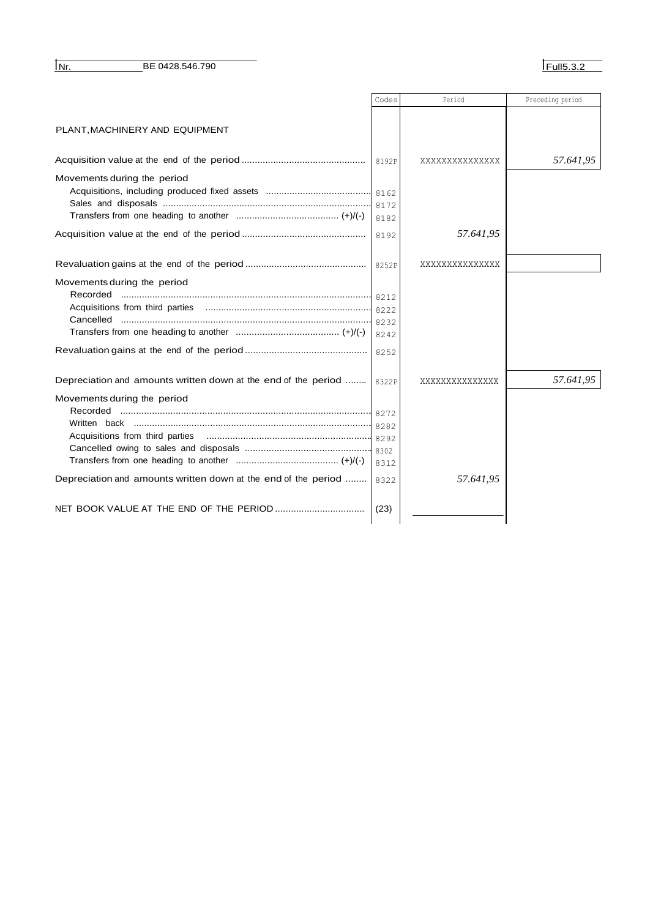**INF.** BE 0428.546.790

|                                                                | Codes | Period          | Preceding period |
|----------------------------------------------------------------|-------|-----------------|------------------|
|                                                                |       |                 |                  |
| PLANT, MACHINERY AND EQUIPMENT                                 |       |                 |                  |
|                                                                |       |                 |                  |
|                                                                | 8192P | XXXXXXXXXXXXXX  | 57.641,95        |
| Movements during the period                                    |       |                 |                  |
|                                                                |       |                 |                  |
|                                                                |       |                 |                  |
|                                                                | 8182  |                 |                  |
|                                                                | 8192  | 57.641,95       |                  |
|                                                                |       |                 |                  |
|                                                                |       | XXXXXXXXXXXXXX  |                  |
| Movements during the period                                    |       |                 |                  |
|                                                                |       |                 |                  |
|                                                                |       |                 |                  |
| Cancelled                                                      |       |                 |                  |
|                                                                | 8242  |                 |                  |
|                                                                | 8252  |                 |                  |
|                                                                |       |                 |                  |
| Depreciation and amounts written down at the end of the period | 8322P | XXXXXXXXXXXXXXX | 57.641,95        |
| Movements during the period                                    |       |                 |                  |
| Recorded                                                       |       |                 |                  |
|                                                                |       |                 |                  |
|                                                                |       |                 |                  |
|                                                                |       |                 |                  |
|                                                                | 8312  |                 |                  |
| Depreciation and amounts written down at the end of the period | 8322  | 57.641,95       |                  |
|                                                                |       |                 |                  |
|                                                                | (23)  |                 |                  |
|                                                                |       |                 |                  |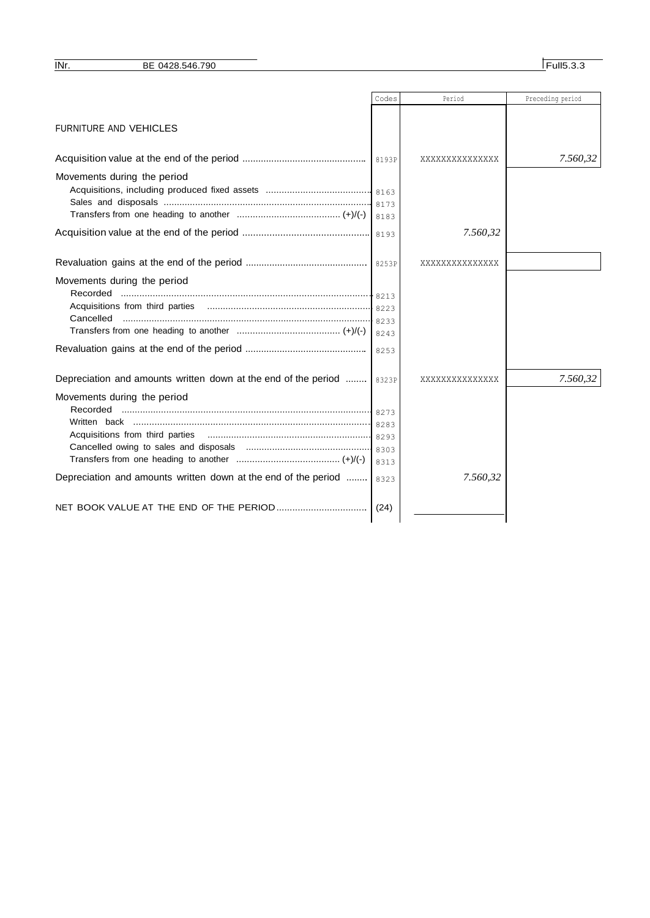|                                                                | Codes | Period          | Preceding period |
|----------------------------------------------------------------|-------|-----------------|------------------|
|                                                                |       |                 |                  |
| <b>FURNITURE AND VEHICLES</b>                                  |       |                 |                  |
|                                                                |       |                 |                  |
|                                                                |       | XXXXXXXXXXXXXXX | 7.560,32         |
| Movements during the period                                    |       |                 |                  |
|                                                                |       |                 |                  |
|                                                                |       |                 |                  |
|                                                                | 8183  |                 |                  |
|                                                                |       | 7.560,32        |                  |
|                                                                |       |                 |                  |
|                                                                |       | XXXXXXXXXXXXXX  |                  |
| Movements during the period                                    |       |                 |                  |
| Recorded                                                       |       |                 |                  |
|                                                                |       |                 |                  |
| Cancelled                                                      |       |                 |                  |
|                                                                | 8243  |                 |                  |
|                                                                | 8253  |                 |                  |
| Depreciation and amounts written down at the end of the period | 8323P | XXXXXXXXXXXXXX  | 7.560,32         |
|                                                                |       |                 |                  |
| Movements during the period<br>Recorded                        |       |                 |                  |
|                                                                |       |                 |                  |
|                                                                |       |                 |                  |
|                                                                |       |                 |                  |
|                                                                | 8313  |                 |                  |
| Depreciation and amounts written down at the end of the period | 8323  | 7.560,32        |                  |
|                                                                |       |                 |                  |
|                                                                | (24)  |                 |                  |
|                                                                |       |                 |                  |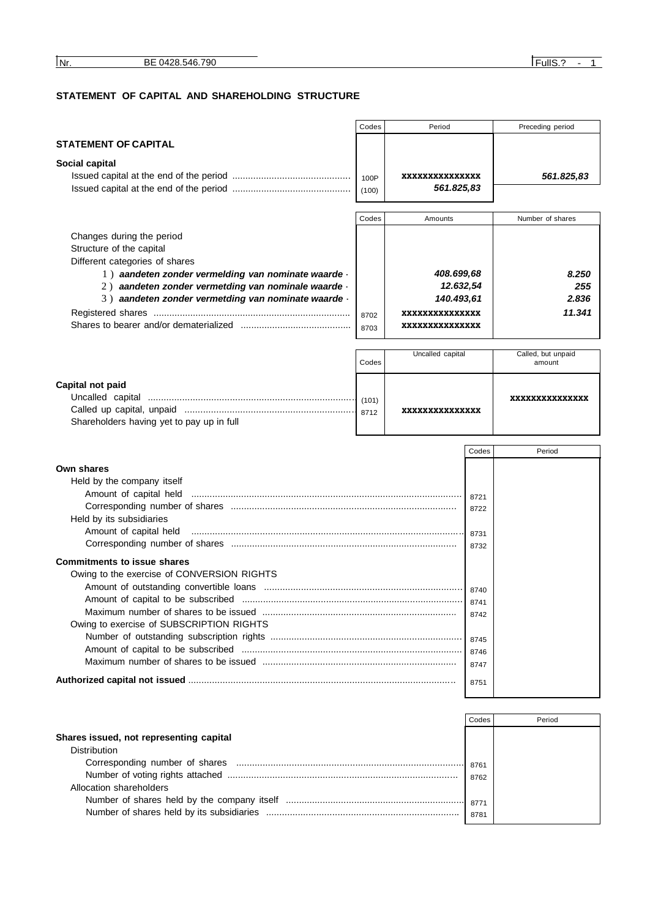Allocation shareholders

## **STATEMENT OF CAPITAL AND SHAREHOLDING STRUCTURE**

|                                                                                                            | Codes | Period                           |       | Preceding period   |
|------------------------------------------------------------------------------------------------------------|-------|----------------------------------|-------|--------------------|
| <b>STATEMENT OF CAPITAL</b>                                                                                |       |                                  |       |                    |
| Social capital                                                                                             |       |                                  |       |                    |
|                                                                                                            | 100P  | XXXXXXXXXXXXXXX                  |       | 561.825,83         |
|                                                                                                            | (100) | 561.825,83                       |       |                    |
|                                                                                                            |       |                                  |       |                    |
|                                                                                                            | Codes | Amounts                          |       | Number of shares   |
| Changes during the period                                                                                  |       |                                  |       |                    |
| Structure of the capital                                                                                   |       |                                  |       |                    |
| Different categories of shares                                                                             |       |                                  |       |                    |
| 1) aandeten zonder vermelding van nominate waarde -<br>2) aandeten zonder vermetding van nominale waarde - |       | 408.699,68                       |       | 8.250              |
| 3) aandeten zonder vermetding van nominate waarde -                                                        |       | 12.632,54<br>140.493,61          |       | 255<br>2.836       |
|                                                                                                            |       |                                  |       | 11.341             |
|                                                                                                            | 8702  | xxxxxxxxxxxxxx<br>xxxxxxxxxxxxxx |       |                    |
|                                                                                                            | 8703  |                                  |       |                    |
|                                                                                                            |       | Uncalled capital                 |       | Called, but unpaid |
|                                                                                                            | Codes |                                  |       | amount             |
| Capital not paid                                                                                           |       |                                  |       |                    |
|                                                                                                            |       |                                  |       | xxxxxxxxxxxxxx     |
|                                                                                                            | 8712  | xxxxxxxxxxxxxx                   |       |                    |
| Shareholders having yet to pay up in full                                                                  |       |                                  |       |                    |
|                                                                                                            |       |                                  |       |                    |
|                                                                                                            |       |                                  | Codes | Period             |
| Own shares                                                                                                 |       |                                  |       |                    |
| Held by the company itself                                                                                 |       |                                  |       |                    |
| Amount of capital held                                                                                     |       |                                  | 8721  |                    |
| Held by its subsidiaries                                                                                   |       |                                  | 8722  |                    |
| Amount of capital held                                                                                     |       |                                  | 8731  |                    |
|                                                                                                            |       |                                  | 8732  |                    |
| <b>Commitments to issue shares</b>                                                                         |       |                                  |       |                    |
| Owing to the exercise of CONVERSION RIGHTS                                                                 |       |                                  |       |                    |
|                                                                                                            |       |                                  | 8740  |                    |
|                                                                                                            |       |                                  | 8741  |                    |
|                                                                                                            |       |                                  | 8742  |                    |
| Owing to exercise of SUBSCRIPTION RIGHTS                                                                   |       |                                  |       |                    |
|                                                                                                            |       |                                  | 8745  |                    |
|                                                                                                            |       |                                  | 8746  |                    |
|                                                                                                            |       |                                  | 8747  |                    |
|                                                                                                            |       |                                  | 8751  |                    |
|                                                                                                            |       |                                  |       |                    |
|                                                                                                            |       |                                  | Codes | Period             |
| Shares issued, not representing capital                                                                    |       |                                  |       |                    |
| Distribution                                                                                               |       |                                  |       |                    |
|                                                                                                            |       |                                  | 8761  |                    |
|                                                                                                            |       |                                  | 8762  |                    |

Number of shares held by the company itself .................................................................... Number of shares held by its subsidiaries .........................................................................

8771 8781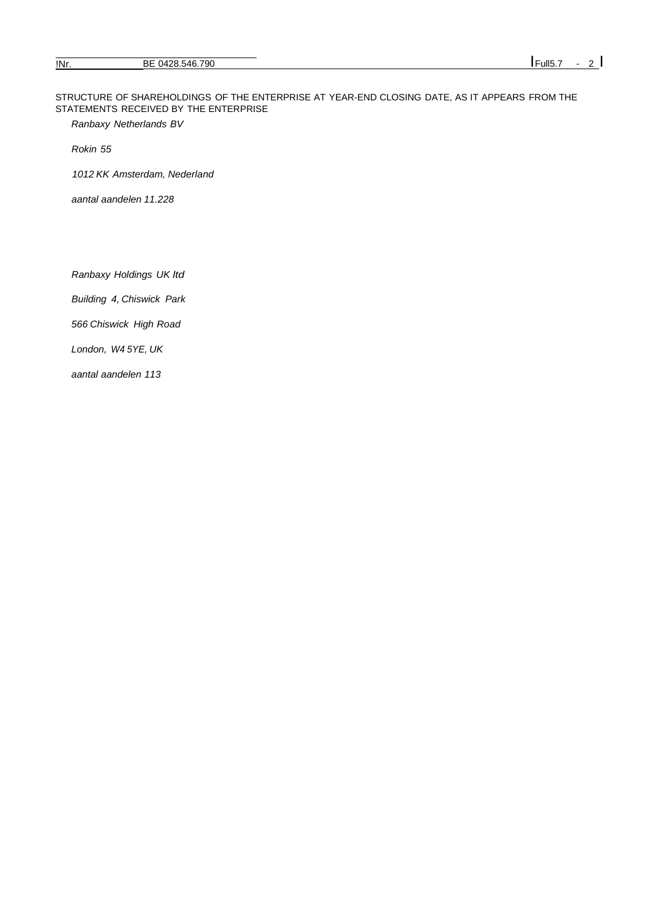STRUCTURE OF SHAREHOLDINGS OF THE ENTERPRISE AT YEAR-END CLOSING DATE, AS IT APPEARS FROM THE STATEMENTS RECEIVED BY THE ENTERPRISE

*Ranbaxy Netherlands BV* 

*Rokin 55*

*1012 KK Amsterdam, Nederland* 

*aantal aandelen 11.228*

*Ranbaxy Holdings UK ltd*

*Building 4, Chiswick Park*

*566 Chiswick High Road* 

*London, W4 5YE, UK* 

*aantal aandelen 113*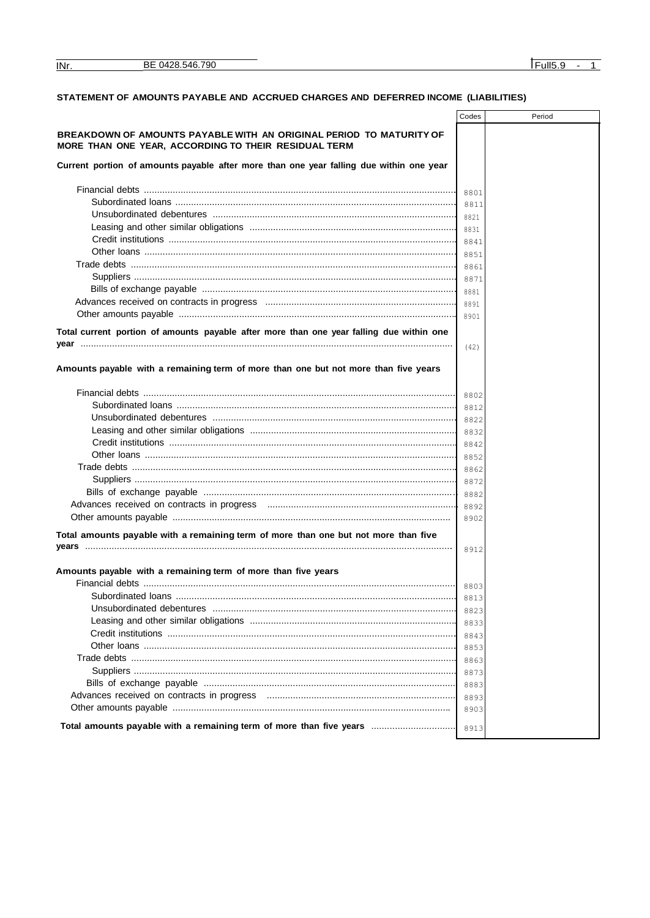$INT.$ 

## STATEMENT OF AMOUNTS PAYABLE AND ACCRUED CHARGES AND DEFERRED INCOME (LIABILITIES)

|                                                                                                                             | Codes | Period |
|-----------------------------------------------------------------------------------------------------------------------------|-------|--------|
| BREAKDOWN OF AMOUNTS PAYABLE WITH AN ORIGINAL PERIOD TO MATURITY OF<br>MORE THAN ONE YEAR, ACCORDING TO THEIR RESIDUAL TERM |       |        |
| Current portion of amounts payable after more than one year falling due within one year                                     |       |        |
|                                                                                                                             | 8801  |        |
| Subordinated loans …………………………………………………………………………………………                                                                       | 8811  |        |
|                                                                                                                             |       |        |
|                                                                                                                             | 8821  |        |
|                                                                                                                             | 8831  |        |
|                                                                                                                             | 8841  |        |
|                                                                                                                             | 8851  |        |
|                                                                                                                             | 8861  |        |
|                                                                                                                             | 8871  |        |
|                                                                                                                             | 8881  |        |
|                                                                                                                             | 8891  |        |
|                                                                                                                             | 8901  |        |
| Total current portion of amounts payable after more than one year falling due within one                                    |       |        |
|                                                                                                                             | (42)  |        |
|                                                                                                                             |       |        |
| Amounts payable with a remaining term of more than one but not more than five years                                         |       |        |
|                                                                                                                             | 8802  |        |
| Subordinated loans …………………………………………………………………………………………                                                                       | 8812  |        |
|                                                                                                                             | 8822  |        |
|                                                                                                                             | 8832  |        |
|                                                                                                                             | 8842  |        |
|                                                                                                                             | 8852  |        |
|                                                                                                                             | 8862  |        |
|                                                                                                                             |       |        |
|                                                                                                                             | 8872  |        |
|                                                                                                                             | 8882  |        |
|                                                                                                                             | 8892  |        |
|                                                                                                                             | 8902  |        |
| Total amounts payable with a remaining term of more than one but not more than five                                         |       |        |
|                                                                                                                             | 8912  |        |
| Amounts payable with a remaining term of more than five years                                                               |       |        |
|                                                                                                                             | 8803  |        |
|                                                                                                                             | 8813  |        |
|                                                                                                                             | 8823  |        |
|                                                                                                                             | 8833  |        |
|                                                                                                                             | 8843  |        |
|                                                                                                                             | 8853  |        |
|                                                                                                                             | 8863  |        |
|                                                                                                                             | 8873  |        |
|                                                                                                                             | 8883  |        |
|                                                                                                                             | 8893  |        |
|                                                                                                                             | 8903  |        |
|                                                                                                                             |       |        |
| Total amounts payable with a remaining term of more than five years                                                         | 8913  |        |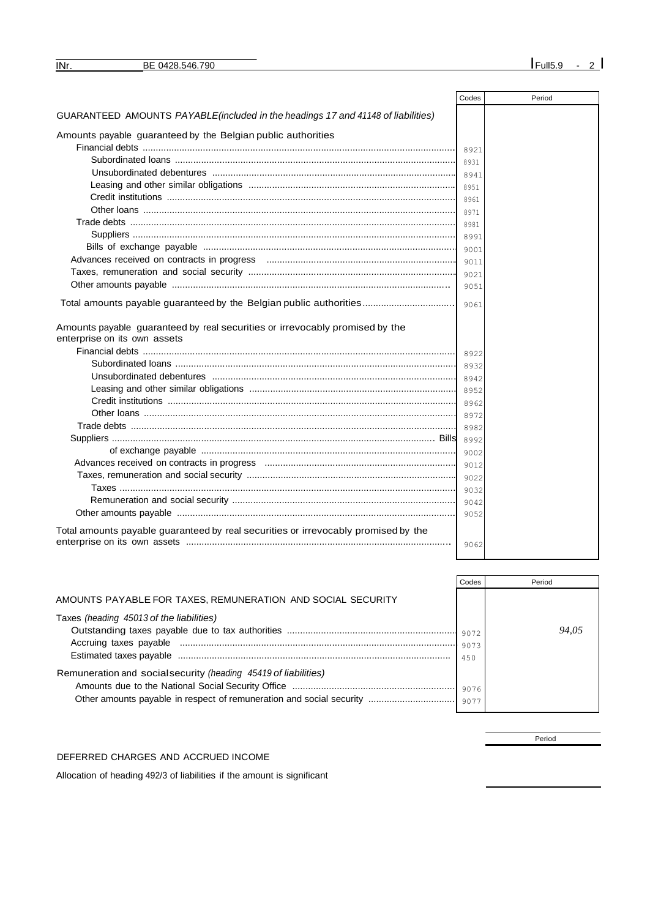| <b>INr</b> | ВF<br>ומז<br>$\Delta F$<br>$\mathbf{z}$<br>IJU. | ⊔ll! |
|------------|-------------------------------------------------|------|

|                                                                                                              | Codes | Period |
|--------------------------------------------------------------------------------------------------------------|-------|--------|
| GUARANTEED AMOUNTS PAYABLE(included in the headings 17 and 41148 of liabilities)                             |       |        |
| Amounts payable guaranteed by the Belgian public authorities                                                 |       |        |
|                                                                                                              | 8921  |        |
|                                                                                                              | 8931  |        |
|                                                                                                              | 8941  |        |
|                                                                                                              | 8951  |        |
|                                                                                                              | 8961  |        |
|                                                                                                              | 8971  |        |
|                                                                                                              | 8981  |        |
|                                                                                                              | 8991  |        |
|                                                                                                              | 9001  |        |
|                                                                                                              | 9011  |        |
|                                                                                                              | 9021  |        |
|                                                                                                              | 9051  |        |
| Total amounts payable guaranteed by the Belgian public authorities                                           | 9061  |        |
| Amounts payable guaranteed by real securities or irrevocably promised by the<br>enterprise on its own assets |       |        |
|                                                                                                              | 8922  |        |
|                                                                                                              | 8932  |        |
|                                                                                                              | 8942  |        |
|                                                                                                              | 8952  |        |
|                                                                                                              | 8962  |        |
|                                                                                                              | 8972  |        |
|                                                                                                              | 8982  |        |
|                                                                                                              | 8992  |        |
|                                                                                                              | 9002  |        |
|                                                                                                              | 9012  |        |
|                                                                                                              | 9022  |        |
|                                                                                                              | 9032  |        |
|                                                                                                              | 9042  |        |
|                                                                                                              | 9052  |        |
| Total amounts payable guaranteed by real securities or irrevocably promised by the                           |       |        |
|                                                                                                              | 9062  |        |

|                                                                 | Codes | Period |
|-----------------------------------------------------------------|-------|--------|
| AMOUNTS PAYABLE FOR TAXES, REMUNERATION AND SOCIAL SECURITY     |       |        |
| Taxes (heading 45013 of the liabilities)                        |       |        |
|                                                                 | 9072  | 94.05  |
|                                                                 | 9073  |        |
|                                                                 | 450   |        |
| Remuneration and social security (heading 45419 of liabilities) |       |        |
|                                                                 | 9076  |        |
|                                                                 | 9077  |        |
|                                                                 |       |        |

DEFERRED CHARGES AND ACCRUED INCOME

Allocation of heading 492/3 of liabilities if the amount is significant

Period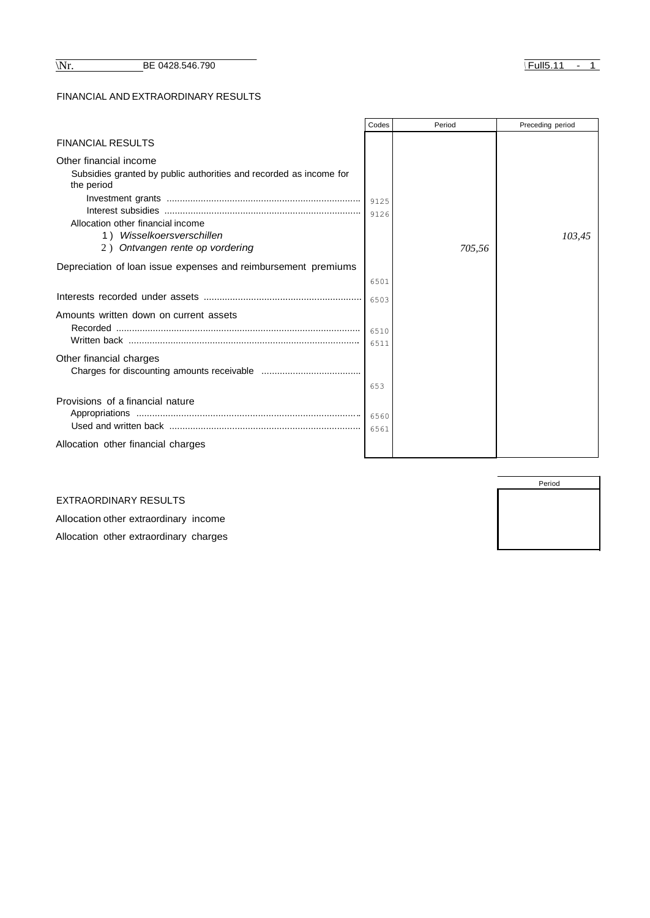## FINANCIAL AND EXTRAORDINARY RESULTS

|                                                                                                            | Codes | Period | Preceding period |
|------------------------------------------------------------------------------------------------------------|-------|--------|------------------|
| <b>FINANCIAL RESULTS</b>                                                                                   |       |        |                  |
| Other financial income<br>Subsidies granted by public authorities and recorded as income for<br>the period |       |        |                  |
|                                                                                                            |       |        |                  |
|                                                                                                            | 9126  |        |                  |
| Allocation other financial income<br>Wisselkoersverschillen<br>1)                                          |       |        | 103,45           |
| 2) Ontvangen rente op vordering                                                                            |       | 705,56 |                  |
|                                                                                                            |       |        |                  |
| Depreciation of loan issue expenses and reimbursement premiums                                             |       |        |                  |
|                                                                                                            | 6501  |        |                  |
|                                                                                                            | 6503  |        |                  |
| Amounts written down on current assets                                                                     |       |        |                  |
| Recorded                                                                                                   | 6510  |        |                  |
|                                                                                                            | 6511  |        |                  |
| Other financial charges                                                                                    |       |        |                  |
|                                                                                                            | 653   |        |                  |
| Provisions of a financial nature                                                                           |       |        |                  |
|                                                                                                            | 6561  |        |                  |
| Allocation other financial charges                                                                         |       |        |                  |

EXTRAORDINARY RESULTS

Allocation other extraordinary income Allocation other extraordinary charges

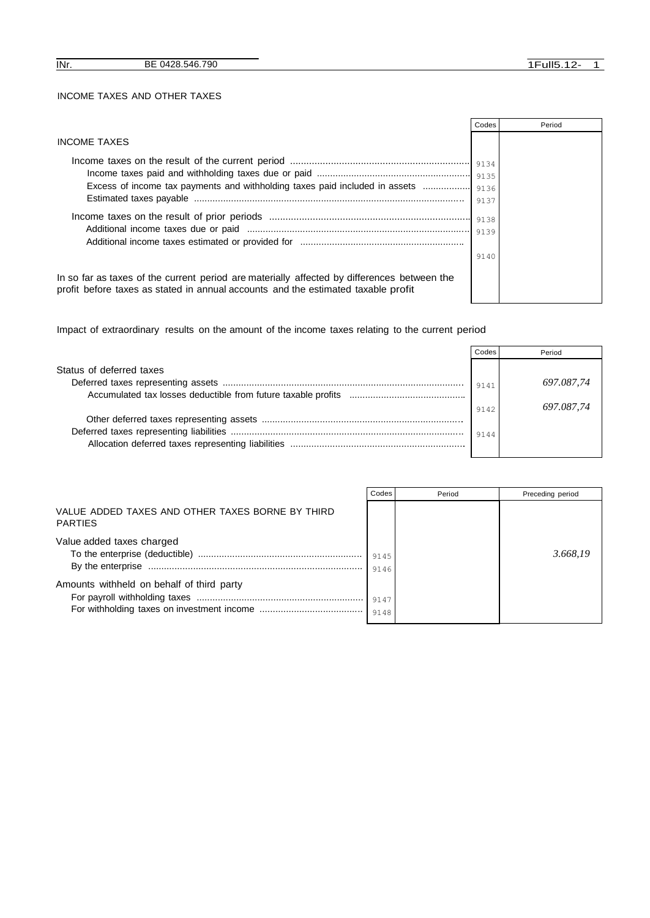|                                                                                                                                                                                  | Codes        | Period |
|----------------------------------------------------------------------------------------------------------------------------------------------------------------------------------|--------------|--------|
| <b>INCOME TAXES</b>                                                                                                                                                              |              |        |
|                                                                                                                                                                                  |              |        |
| Excess of income tax payments and withholding taxes paid included in assets                                                                                                      |              |        |
|                                                                                                                                                                                  | 9136<br>9137 |        |
|                                                                                                                                                                                  | 9138         |        |
|                                                                                                                                                                                  | 9139         |        |
|                                                                                                                                                                                  |              |        |
|                                                                                                                                                                                  | 9140         |        |
| In so far as taxes of the current period are materially affected by differences between the<br>profit before taxes as stated in annual accounts and the estimated taxable profit |              |        |

Impact of extraordinary results on the amount of the income taxes relating to the current period

|                          | Codes | Period     |
|--------------------------|-------|------------|
| Status of deferred taxes |       |            |
|                          | 9141  | 697.087.74 |
|                          |       |            |
|                          | 9142  | 697.087.74 |
|                          |       |            |
|                          | 9144  |            |
|                          |       |            |
|                          |       |            |

|                                                                    | Codes        | Period | Preceding period |
|--------------------------------------------------------------------|--------------|--------|------------------|
| VALUE ADDED TAXES AND OTHER TAXES BORNE BY THIRD<br><b>PARTIES</b> |              |        |                  |
| Value added taxes charged                                          | 9145<br>9146 |        | 3.668.19         |
| Amounts withheld on behalf of third party                          | 9147         |        |                  |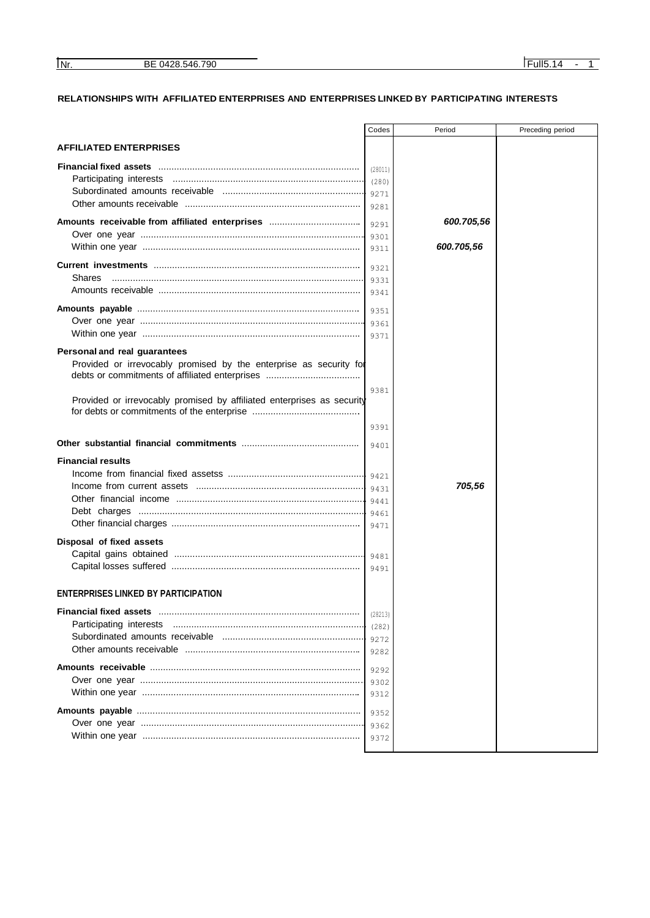## **RELATIONSHIPS WITH AFFILIATED ENTERPRISES AND ENTERPRISES LINKED BY PARTICIPATING INTERESTS**

|                                                                        | Codes        | Period     | Preceding period |
|------------------------------------------------------------------------|--------------|------------|------------------|
| <b>AFFILIATED ENTERPRISES</b>                                          |              |            |                  |
|                                                                        | (28011)      |            |                  |
|                                                                        | (280)        |            |                  |
|                                                                        | 9271         |            |                  |
|                                                                        | 9281         |            |                  |
| Amounts receivable from affiliated enterprises                         |              | 600.705,56 |                  |
|                                                                        | 9291         |            |                  |
|                                                                        | 9301<br>9311 | 600.705,56 |                  |
|                                                                        |              |            |                  |
|                                                                        | 9321         |            |                  |
| Shares                                                                 | 9331         |            |                  |
|                                                                        | 9341         |            |                  |
|                                                                        | 9351         |            |                  |
|                                                                        | 9361         |            |                  |
|                                                                        | 9371         |            |                  |
| Personal and real guarantees                                           |              |            |                  |
| Provided or irrevocably promised by the enterprise as security for     |              |            |                  |
|                                                                        |              |            |                  |
|                                                                        | 9381         |            |                  |
| Provided or irrevocably promised by affiliated enterprises as security |              |            |                  |
|                                                                        |              |            |                  |
|                                                                        | 9391         |            |                  |
|                                                                        | 9401         |            |                  |
| <b>Financial results</b>                                               |              |            |                  |
|                                                                        |              |            |                  |
|                                                                        | 9421<br>9431 | 705,56     |                  |
|                                                                        |              |            |                  |
|                                                                        |              |            |                  |
|                                                                        | 9471         |            |                  |
|                                                                        |              |            |                  |
| Disposal of fixed assets                                               |              |            |                  |
| Capital gains obtained                                                 |              |            |                  |
|                                                                        | 9491         |            |                  |
| <b>ENTERPRISES LINKED BY PARTICIPATION</b>                             |              |            |                  |
|                                                                        |              |            |                  |
|                                                                        | (28213)      |            |                  |
| Participating interests                                                | (282)        |            |                  |
|                                                                        | 9272         |            |                  |
|                                                                        | 9282         |            |                  |
|                                                                        | 9292         |            |                  |
|                                                                        | 9302         |            |                  |
|                                                                        | 9312         |            |                  |
|                                                                        |              |            |                  |
|                                                                        | 9352         |            |                  |
|                                                                        | 9362         |            |                  |
|                                                                        | 9372         |            |                  |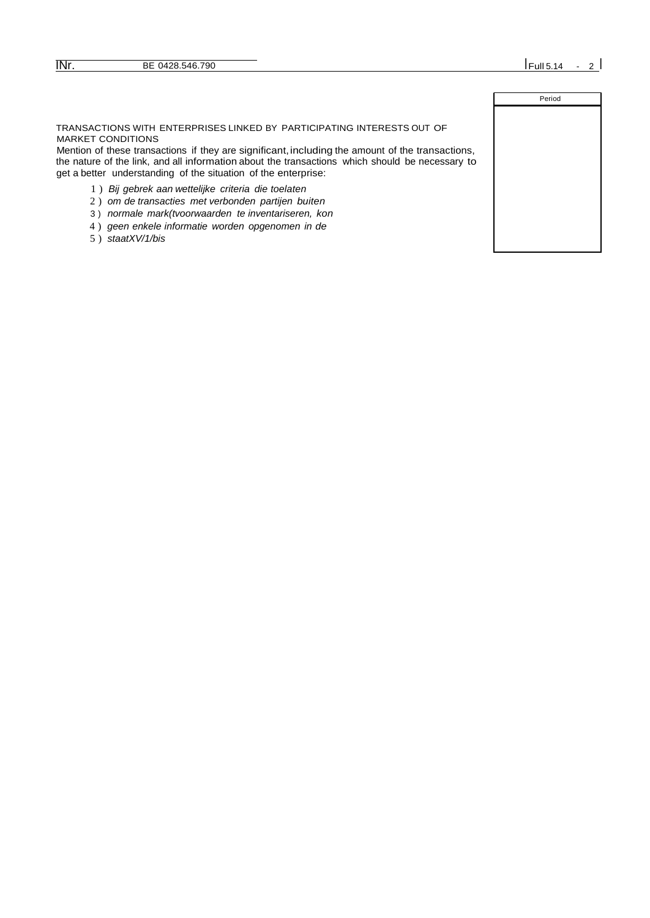| Period |
|--------|
|        |
|        |
|        |
|        |
|        |
|        |
|        |
|        |
|        |
|        |

TRANSACTIONS WITH ENTERPRISES LINKED BY PARTICIPATING INTERESTS OUT OF MARKET CONDITIONS

Mention of these transactions if they are significant, including the amount of the transactions, the nature of the link, and all information about the transactions which should be necessary to get a better understanding of the situation of the enterprise:

- 1 ) *Bij gebrek aan wettelijke criteria die toelaten*
- 2 ) *om de transacties met verbonden partijen buiten*
- 3 ) *normale mark(tvoorwaarden te inventariseren, kon*
- 4 ) *geen enkele informatie worden opgenomen in de*
- 5 ) *staatXV/1/bis*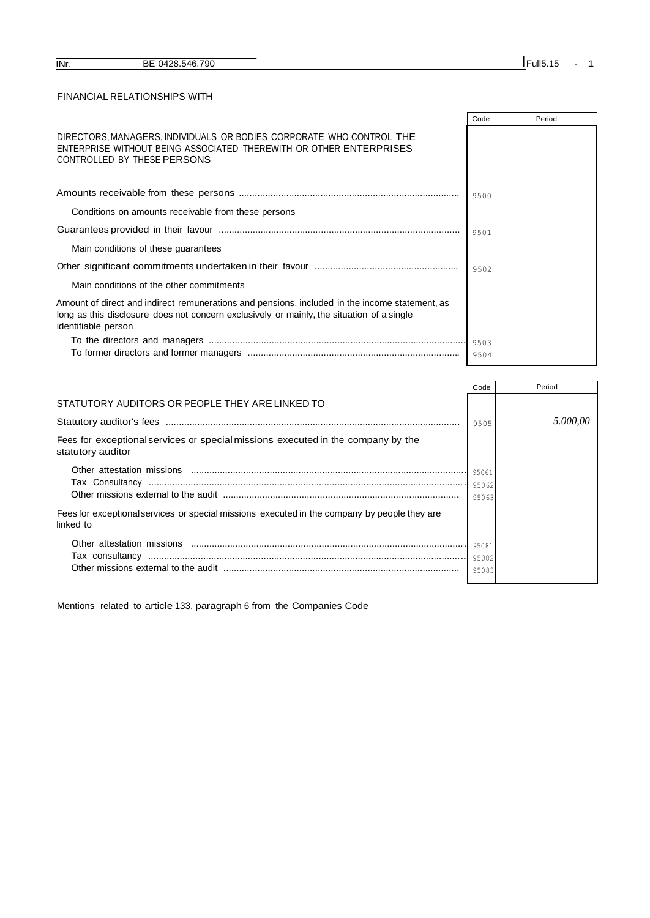## FINANCIAL RELATIONSHIPS WITH

|                                                                                                                                                                                                                    | Code | Period |
|--------------------------------------------------------------------------------------------------------------------------------------------------------------------------------------------------------------------|------|--------|
| DIRECTORS, MANAGERS, INDIVIDUALS OR BODIES CORPORATE WHO CONTROL THE<br>ENTERPRISE WITHOUT BEING ASSOCIATED THEREWITH OR OTHER ENTERPRISES<br>CONTROLLED BY THESE PERSONS                                          |      |        |
|                                                                                                                                                                                                                    | 9500 |        |
| Conditions on amounts receivable from these persons                                                                                                                                                                |      |        |
|                                                                                                                                                                                                                    | 9501 |        |
| Main conditions of these guarantees                                                                                                                                                                                |      |        |
|                                                                                                                                                                                                                    | 9502 |        |
| Main conditions of the other commitments                                                                                                                                                                           |      |        |
| Amount of direct and indirect remunerations and pensions, included in the income statement, as<br>long as this disclosure does not concern exclusively or mainly, the situation of a single<br>identifiable person |      |        |
|                                                                                                                                                                                                                    |      |        |
|                                                                                                                                                                                                                    | 9504 |        |

|                                                                                                           | Code                    | Period   |
|-----------------------------------------------------------------------------------------------------------|-------------------------|----------|
| STATUTORY AUDITORS OR PEOPLE THEY ARE LINKED TO                                                           |                         |          |
|                                                                                                           | 9505                    | 5.000.00 |
| Fees for exceptional services or special missions executed in the company by the<br>statutory auditor     |                         |          |
|                                                                                                           | 95061<br>95063          |          |
| Fees for exceptional services or special missions executed in the company by people they are<br>linked to |                         |          |
|                                                                                                           | 95081<br>95082<br>95083 |          |

Mentions related to article 133, paragraph 6 from the Companies Code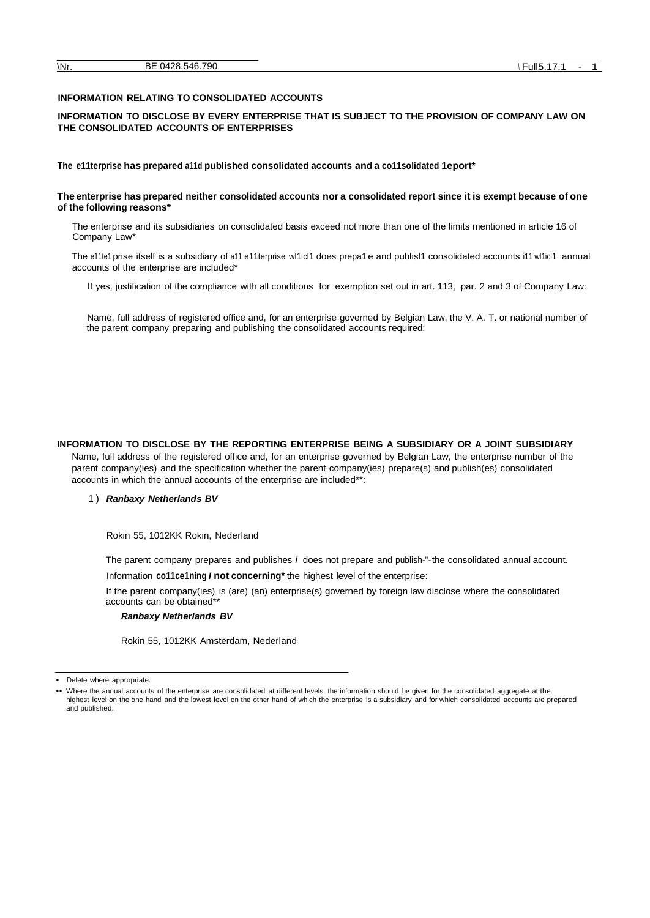#### **INFORMATION RELATING TO CONSOLIDATED ACCOUNTS**

#### **INFORMATION TO DISCLOSE BY EVERY ENTERPRISE THAT IS SUBJECT TO THE PROVISION OF COMPANY LAW ON THE CONSOLIDATED ACCOUNTS OF ENTERPRISES**

#### **The e11terprise has prepared a11d published consolidated accounts and a co11solidated 1eport\***

#### The enterprise has prepared neither consolidated accounts nor a consolidated report since it is exempt because of one **of the following reasons\***

The enterprise and its subsidiaries on consolidated basis exceed not more than one of the limits mentioned in article 16 of Company Law\*

The e11te1 prise itself is a subsidiary of a11 e11terprise wl1icl1 does prepa1 e and publisl1 consolidated accounts i11 wl1icl1 annual accounts of the enterprise are included\*

If yes, justification of the compliance with all conditions for exemption set out in art. 113, par. 2 and 3 of Company Law:

Name, full address of registered office and, for an enterprise governed by Belgian Law, the V. A. T. or national number of the parent company preparing and publishing the consolidated accounts required:

**INFORMATION TO DISCLOSE BY THE REPORTING ENTERPRISE BEING A SUBSIDIARY OR A JOINT SUBSIDIARY**  Name, full address of the registered office and, for an enterprise governed by Belgian Law, the enterprise number of the parent company(ies) and the specification whether the parent company(ies) prepare(s) and publish(es) consolidated accounts in which the annual accounts of the enterprise are included\*\*:

#### 1 ) *Ranbaxy Netherlands BV*

Rokin 55, 1012KK Rokin, Nederland

The parent company prepares and publishes *I* does not prepare and publish-"-the consolidated annual account. Information **co11ce1ning** *I* **not concerning\*** the highest level of the enterprise:

If the parent company(ies) is (are) (an) enterprise(s) governed by foreign law disclose where the consolidated accounts can be obtained\*\*

#### *Ranbaxy Netherlands BV*

Rokin 55, 1012KK Amsterdam, Nederland

Delete where appropriate.

<sup>••</sup> Where the annual accounts of the enterprise are consolidated at different levels, the information should be given for the consolidated aggregate at the highest level on the one hand and the lowest level on the other hand of which the enterprise is a subsidiary and for which consolidated accounts are prepared and published.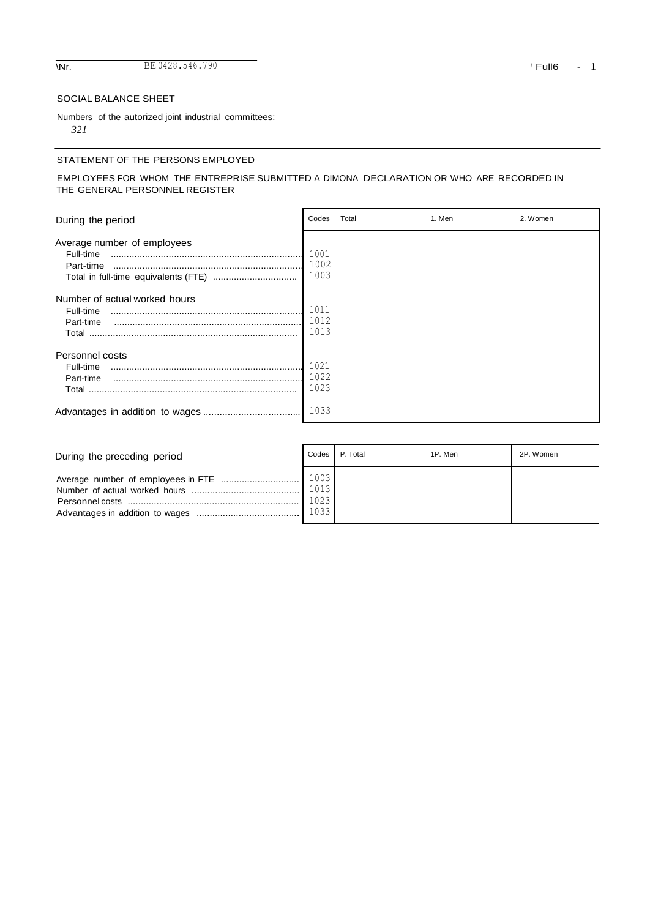## SOCIAL BALANCE SHEET

Numbers of the autorized joint industrial committees: *321*

#### STATEMENT OF THE PERSONS EMPLOYED

#### EMPLOYEES FOR WHOM THE ENTREPRISE SUBMITTED A DIMONA DECLARATION OR WHO ARE RECORDED IN THE GENERAL PERSONNEL REGISTER

| During the period                                                | Codes                | Total | 1. Men | 2. Women |
|------------------------------------------------------------------|----------------------|-------|--------|----------|
| Average number of employees<br>Full-time<br>Part-time            | 1001<br>1002<br>1003 |       |        |          |
| Number of actual worked hours<br>Full-time<br>Part-time<br>Total | 1011<br>1012<br>1013 |       |        |          |
| Personnel costs<br>Full-time<br>Part-time<br>Total               | 1021<br>1022<br>1023 |       |        |          |
|                                                                  | 1033                 |       |        |          |

| During the preceding period | Codes                | P. Total | 1P. Men | 2P. Women |
|-----------------------------|----------------------|----------|---------|-----------|
|                             | 1013<br>1023<br>1033 |          |         |           |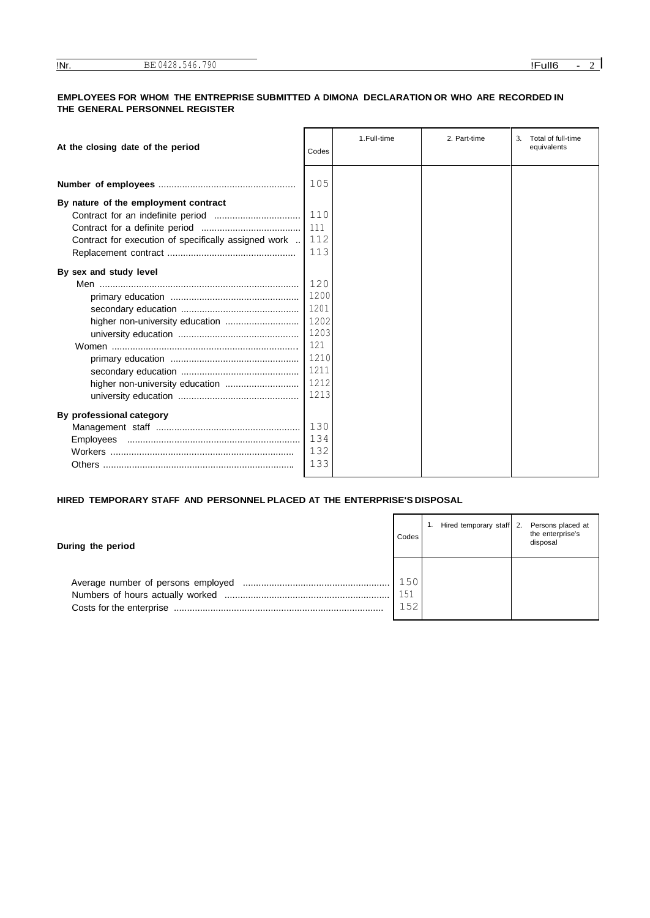#### **EMPLOYEES FOR WHOM THE ENTREPRISE SUBMITTED A DIMONA DECLARATION OR WHO ARE RECORDED IN THE GENERAL PERSONNEL REGISTER**

| At the closing date of the period                    | Codes | 1.Full-time | 2. Part-time | Total of full-time<br>3.<br>equivalents |
|------------------------------------------------------|-------|-------------|--------------|-----------------------------------------|
|                                                      | 105   |             |              |                                         |
| By nature of the employment contract                 |       |             |              |                                         |
|                                                      | 110   |             |              |                                         |
|                                                      | 111   |             |              |                                         |
| Contract for execution of specifically assigned work | 112   |             |              |                                         |
|                                                      | 113   |             |              |                                         |
| By sex and study level                               |       |             |              |                                         |
|                                                      | 120   |             |              |                                         |
|                                                      | 1200  |             |              |                                         |
|                                                      | 1201  |             |              |                                         |
|                                                      | 1202  |             |              |                                         |
|                                                      | 1203  |             |              |                                         |
|                                                      | 121   |             |              |                                         |
|                                                      | 1210  |             |              |                                         |
|                                                      | 1211  |             |              |                                         |
|                                                      | 1212  |             |              |                                         |
|                                                      | 1213  |             |              |                                         |
| By professional category                             |       |             |              |                                         |
|                                                      | 130   |             |              |                                         |
|                                                      | 134   |             |              |                                         |
|                                                      | 132   |             |              |                                         |
|                                                      | 133   |             |              |                                         |

**HIRED TEMPORARY STAFF AND PERSONNEL PLACED AT THE ENTERPRISE'S DISPOSAL**

| During the period |                   | 1. Hired temporary staff 2. | Persons placed at<br>the enterprise's<br>disposal |
|-------------------|-------------------|-----------------------------|---------------------------------------------------|
|                   | 150<br>151<br>152 |                             |                                                   |

 $\blacksquare$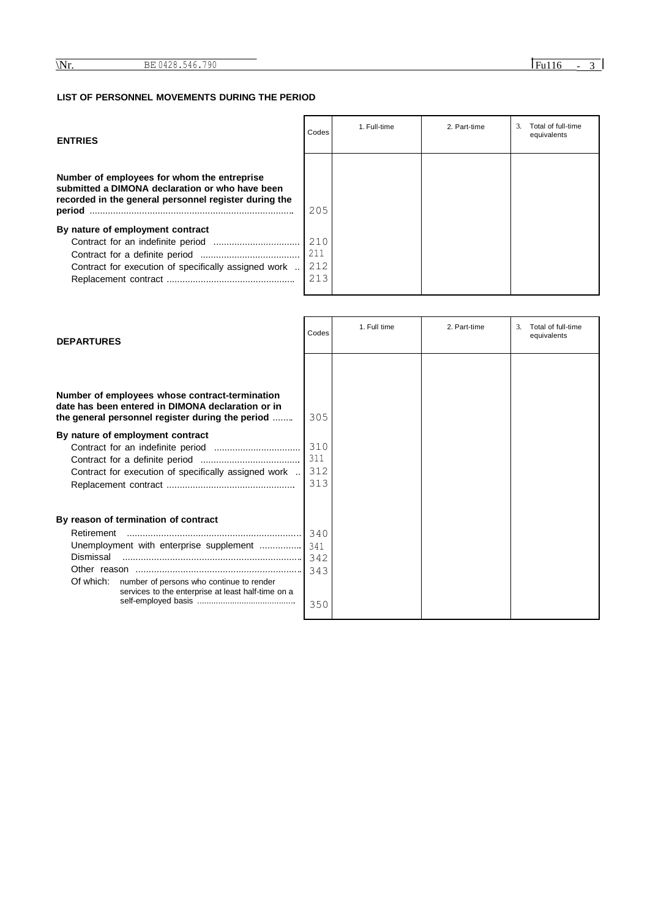## **LIST OF PERSONNEL MOVEMENTS DURING THE PERIOD**

| <b>ENTRIES</b>                                                                                                                                                    | Codes | 1. Full-time | 2. Part-time | Total of full-time<br>3<br>equivalents |
|-------------------------------------------------------------------------------------------------------------------------------------------------------------------|-------|--------------|--------------|----------------------------------------|
| Number of employees for whom the entreprise<br>submitted a DIMONA declaration or who have been<br>recorded in the general personnel register during the<br>period | 205   |              |              |                                        |
| By nature of employment contract                                                                                                                                  |       |              |              |                                        |
|                                                                                                                                                                   | 210   |              |              |                                        |
|                                                                                                                                                                   | 211   |              |              |                                        |
| Contract for execution of specifically assigned work                                                                                                              | 212   |              |              |                                        |
|                                                                                                                                                                   | 213   |              |              |                                        |
|                                                                                                                                                                   |       |              |              |                                        |

| <b>DEPARTURES</b>                                                                                                                                                                                                         | Codes                           | 1. Full time | 2. Part-time | Total of full-time<br>3.<br>equivalents |
|---------------------------------------------------------------------------------------------------------------------------------------------------------------------------------------------------------------------------|---------------------------------|--------------|--------------|-----------------------------------------|
| Number of employees whose contract-termination<br>date has been entered in DIMONA declaration or in<br>the general personnel register during the period                                                                   | 305                             |              |              |                                         |
| By nature of employment contract<br>Contract for execution of specifically assigned work                                                                                                                                  | 310<br>311<br>312<br>313        |              |              |                                         |
| By reason of termination of contract<br>Retirement<br>Unemployment with enterprise supplement<br>Dismissal<br>Of which:<br>number of persons who continue to render<br>services to the enterprise at least half-time on a | 340<br>341<br>342<br>343<br>350 |              |              |                                         |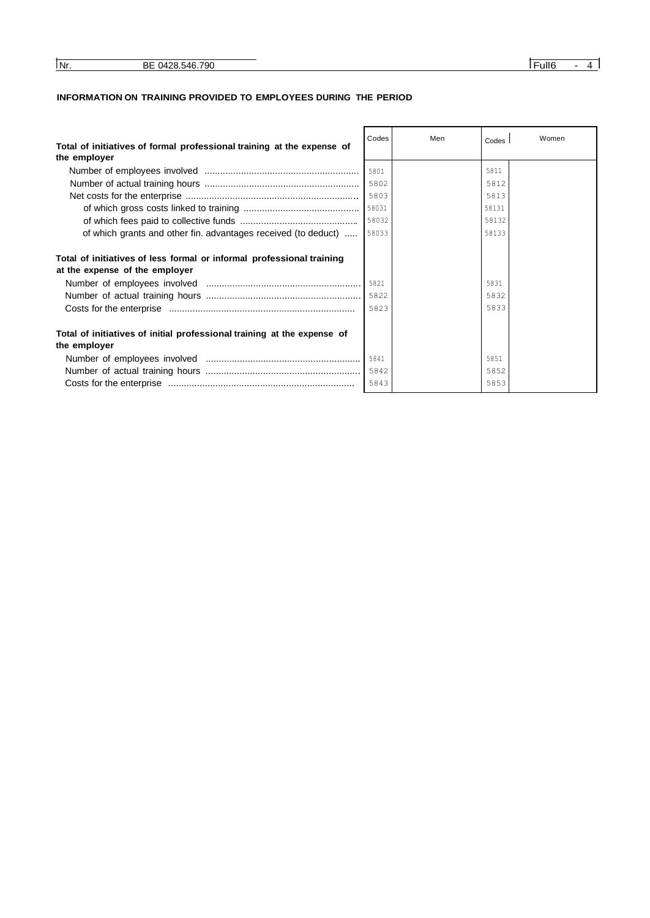| INr. | 700<br>or<br>N4.<br>$\Delta$<br>. .<br>DE.<br>ັບ | -ūll6 |  |
|------|--------------------------------------------------|-------|--|

## **INFORMATION ON TRAINING PROVIDED TO EMPLOYEES DURING THE PERIOD**

|                                                                                        | Codes | Men | Codes | Women |
|----------------------------------------------------------------------------------------|-------|-----|-------|-------|
| Total of initiatives of formal professional training at the expense of<br>the employer |       |     |       |       |
|                                                                                        | 5801  |     | 5811  |       |
|                                                                                        | 5802  |     | 5812  |       |
|                                                                                        | 5803  |     | 5813  |       |
|                                                                                        | 58031 |     | 58131 |       |
|                                                                                        | 58032 |     | 58132 |       |
| of which grants and other fin. advantages received (to deduct)                         | 58033 |     | 58133 |       |
|                                                                                        |       |     |       |       |
| Total of initiatives of less formal or informal professional training                  |       |     |       |       |
| at the expense of the employer                                                         |       |     |       |       |
|                                                                                        | 5821  |     | 5831  |       |
|                                                                                        |       |     | 5832  |       |
|                                                                                        | 5823  |     | 5833  |       |
|                                                                                        |       |     |       |       |
| Total of initiatives of initial professional training at the expense of                |       |     |       |       |
| the employer                                                                           |       |     |       |       |
|                                                                                        | 5841  |     | 5851  |       |
|                                                                                        | 5842  |     | 5852  |       |
|                                                                                        | 5843  |     | 5853  |       |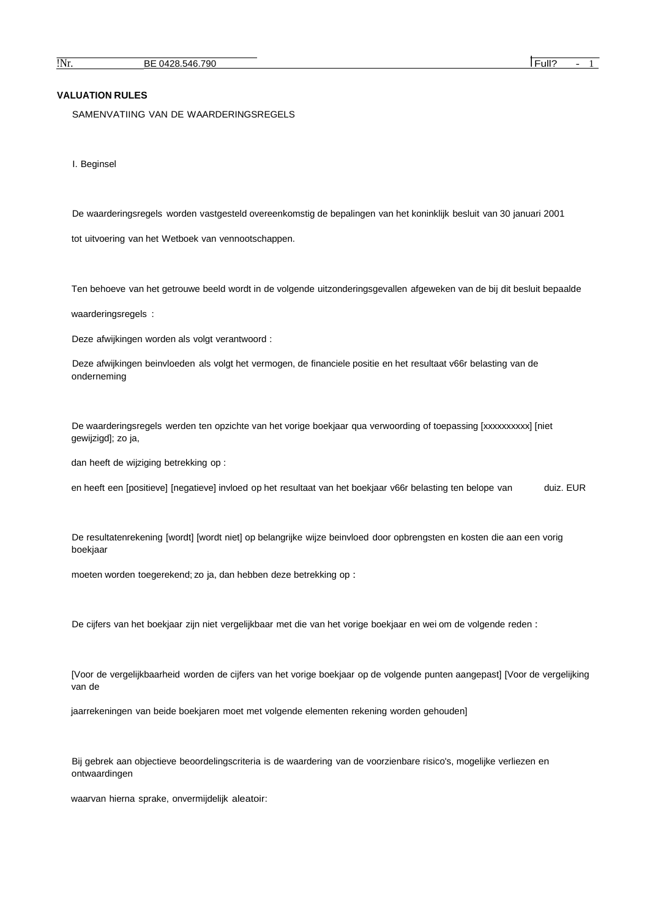#### **VALUATION RULES**

SAMENVATIING VAN DE WAARDERINGSREGELS

I. Beginsel

De waarderingsregels worden vastgesteld overeenkomstig de bepalingen van het koninklijk besluit van 30 januari 2001

tot uitvoering van het Wetboek van vennootschappen.

Ten behoeve van het getrouwe beeld wordt in de volgende uitzonderingsgevallen afgeweken van de bij dit besluit bepaalde

waarderingsregels :

Deze afwijkingen worden als volgt verantwoord :

Deze afwijkingen beinvloeden als volgt het vermogen, de financiele positie en het resultaat v66r belasting van de onderneming

De waarderingsregels werden ten opzichte van het vorige boekjaar qua verwoording of toepassing [xxxxxxxxxx] [niet gewijzigd]; zo ja,

dan heeft de wijziging betrekking op :

en heeft een [positieve] [negatieve] invloed op het resultaat van het boekjaar v66r belasting ten belope van duiz. EUR

De resultatenrekening [wordt] [wordt niet] op belangrijke wijze beinvloed door opbrengsten en kosten die aan een vorig boekjaar

moeten worden toegerekend; zo ja, dan hebben deze betrekking op :

De cijfers van het boekjaar zijn niet vergelijkbaar met die van het vorige boekjaar en wei om de volgende reden :

[Voor de vergelijkbaarheid worden de cijfers van het vorige boekjaar op de volgende punten aangepast] [Voor de vergelijking van de

jaarrekeningen van beide boekjaren moet met volgende elementen rekening worden gehouden]

Bij gebrek aan objectieve beoordelingscriteria is de waardering van de voorzienbare risico's, mogelijke verliezen en ontwaardingen

waarvan hierna sprake, onvermijdelijk aleatoir: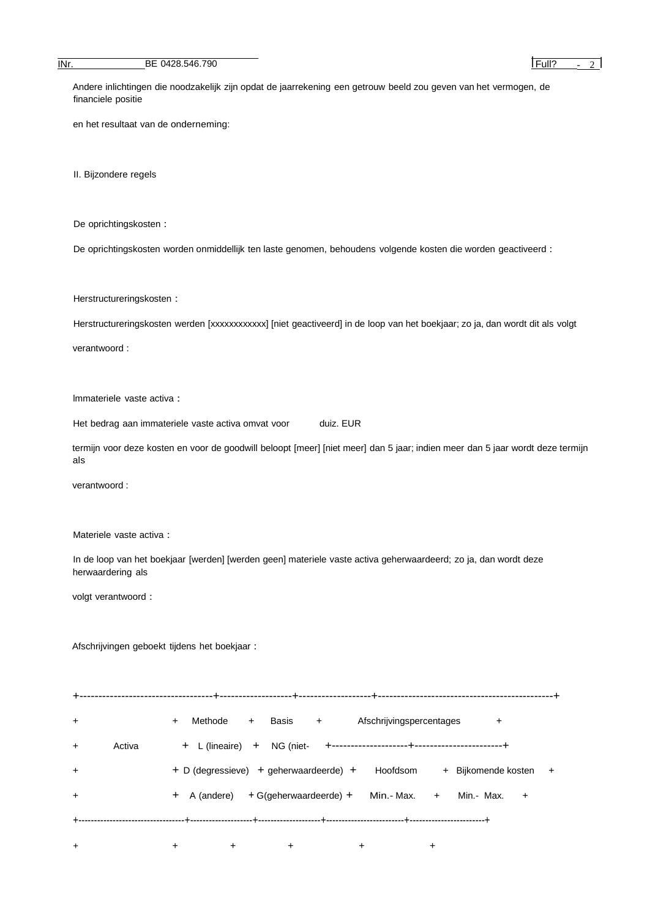**INr.** BE 0428.546.790 **IFULL** BE 0428.546.790

Andere inlichtingen die noodzakelijk zijn opdat de jaarrekening een getrouw beeld zou geven van het vermogen, de financiele positie

en het resultaat van de onderneming:

II. Bijzondere regels

De oprichtingskosten :

De oprichtingskosten worden onmiddellijk ten laste genomen, behoudens volgende kosten die worden geactiveerd :

Herstructureringskosten :

Herstructureringskosten werden [xxxxxxxxxxx] [niet geactiveerd] in de loop van het boekjaar; zo ja, dan wordt dit als volgt

verantwoord :

lmmateriele vaste activa :

Het bedrag aan immateriele vaste activa omvat voor duiz. EUR

termijn voor deze kosten en voor de goodwill beloopt [meer] [niet meer] dan 5 jaar; indien meer dan 5 jaar wordt deze termijn als

verantwoord :

Materiele vaste activa :

In de loop van het boekjaar [werden] [werden geen] materiele vaste activa geherwaardeerd; zo ja, dan wordt deze herwaardering als

volgt verantwoord :

Afschrijvingen geboekt tijdens het boekjaar :

+-----------------------------------+-------------------+-------------------+----------------------------------------------+ + + Methode + Basis + Afschrijvingspercentages + + Activa + L (lineaire) + NG (niet- +--------------------+-----------------------+ + + D (degressieve) + geherwaardeerde) + Hoofdsom + Bijkomende kosten + + + A (andere) + G(geherwaardeerde) + Min.- Max. + Min.- Max. + +----------------------------------+--------------------+--------------------+-------------------------+------------------------+

+ + + + + +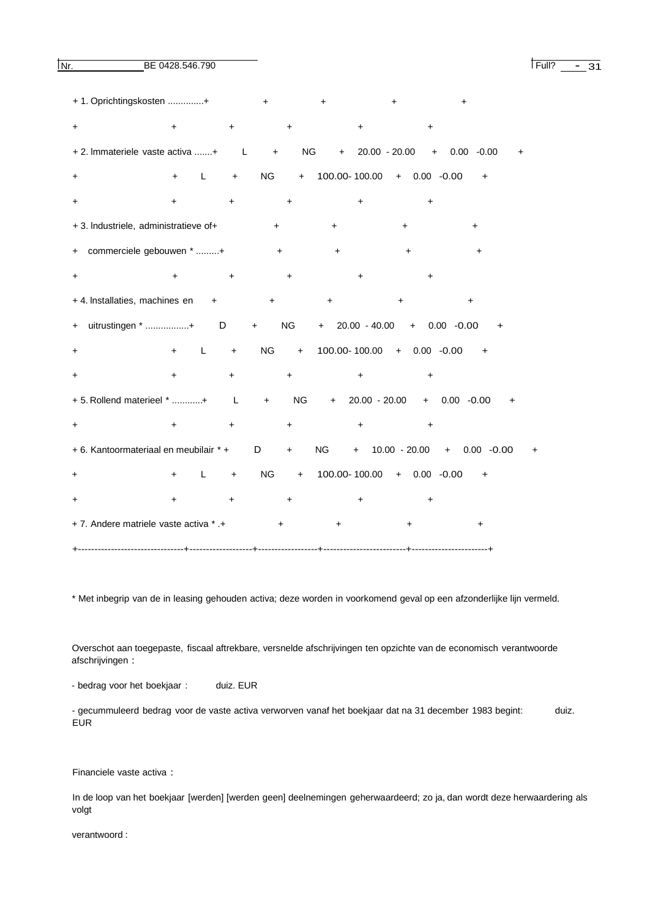**INr.** BE 0428.546.790 **I Full**? - 31

| + 1. Oprichtingskosten +               |                |           | $\ddot{}$                        | $\ddot{}$ |                                | +                              |  |
|----------------------------------------|----------------|-----------|----------------------------------|-----------|--------------------------------|--------------------------------|--|
| +                                      | $\ddot{}$      | +         | $\ddot{}$                        | +         |                                |                                |  |
| + 2. Immateriele vaste activa + L      |                |           | $\pm$                            | NG        | $+ 20.00 - 20.00$              | 0.00<br>$-0.00$<br>$+$         |  |
| +                                      | L<br>+         | $+$       | <b>NG</b>                        | $+$       | 100.00-100.00 + 0.00 -0.00     | $\ddot{}$                      |  |
| +                                      | +              | $\ddot{}$ | $\ddot{}$                        | $\ddot{}$ | ÷                              |                                |  |
| + 3. Industriele, administratieve of+  |                |           | $\ddot{}$                        | $\ddot{}$ | $\ddot{}$                      | +                              |  |
| commerciele gebouwen * +<br>$\pm$      |                |           | $+$                              | $\ddot{}$ | +                              | +                              |  |
| +                                      | +              | +         | $\ddot{}$                        | $\ddot{}$ | $\ddot{}$                      |                                |  |
| + 4. Installaties, machines en         |                | $+$       | $\ddot{}$                        | +         | $\ddot{}$                      | +                              |  |
| uitrustingen * + D<br>$+$              |                |           | <b>NG</b><br>$\ddot{}$           |           | $+$ 20.00 - 40.00 + 0.00 -0.00 | $\ddot{}$                      |  |
| $\ddot{}$                              | L<br>$+$       | $+$       | NG<br>$+$                        |           | 100.00-100.00 + 0.00 -0.00 +   |                                |  |
| +                                      | $+$            | $\ddot{}$ | $\begin{array}{c} + \end{array}$ | $\ddot{}$ | $\ddot{}$                      |                                |  |
| + 5. Rollend materieel * + L           |                |           | <b>NG</b><br>$+$                 |           | $+ 20.00 - 20.00$              | $+$ 0.00 -0.00<br>$\ddot{}$    |  |
| +                                      | $\ddot{}$      | $\ddot{}$ | $\ddot{}$                        | $\ddot{}$ | $\ddot{}$                      |                                |  |
| + 6. Kantoormateriaal en meubilair * + |                |           | D<br>$\ddot{}$                   | NG NG     |                                | $+$ 10.00 - 20.00 + 0.00 -0.00 |  |
| +                                      | L<br>$\ddot{}$ | $\ddot{}$ | <b>NG</b>                        | $+$       | 100.00-100.00 + 0.00 -0.00     | $\ddot{}$                      |  |
| +                                      | +              |           | $\ddot{}$                        | +         |                                |                                |  |
| + 7. Andere matriele vaste activa * .+ |                |           |                                  | $\ddot{}$ |                                |                                |  |
|                                        |                |           |                                  |           |                                |                                |  |

\* Met inbegrip van de in leasing gehouden activa; deze worden in voorkomend geval op een afzonderlijke lijn vermeld.

Overschot aan toegepaste, fiscaal aftrekbare, versnelde afschrijvingen ten opzichte van de economisch verantwoorde afschrijvingen :

- bedrag voor het boekjaar : duiz. EUR

- gecummuleerd bedrag voor de vaste activa verworven vanaf het boekjaar dat na 31 december 1983 begint: duiz. EUR

Financiele vaste activa :

In de loop van het boekjaar [werden] [werden geen] deelnemingen geherwaardeerd; zo ja, dan wordt deze herwaardering als volgt

verantwoord :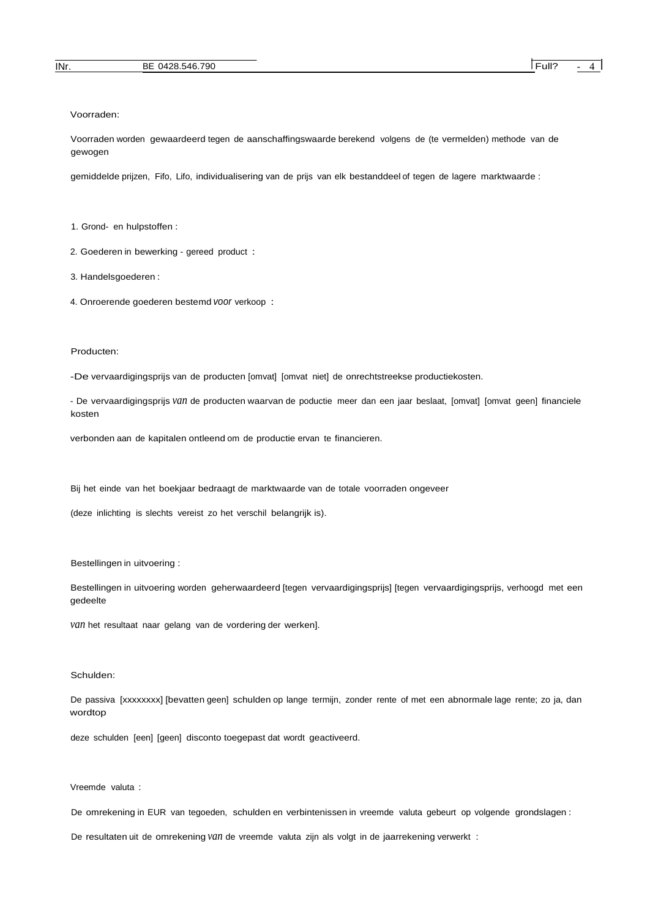Voorraden:

Voorraden worden gewaardeerd tegen de aanschaffingswaarde berekend volgens de (te vermelden) methode van de gewogen

gemiddelde prijzen, Fifo, Lifo, individualisering van de prijs van elk bestanddeel of tegen de lagere marktwaarde :

1. Grond- en hulpstoffen :

2. Goederen in bewerking - gereed product :

3. Handelsgoederen :

4. Onroerende goederen bestemd *voor* verkoop :

#### Producten:

-De vervaardigingsprijs van de producten [omvat] [omvat niet] de onrechtstreekse productiekosten.

- De vervaardigingsprijs *van* de producten waarvan de poductie meer dan een jaar beslaat, [omvat] [omvat geen] financiele kosten

verbonden aan de kapitalen ontleend om de productie ervan te financieren.

Bij het einde van het boekjaar bedraagt de marktwaarde van de totale voorraden ongeveer

(deze inlichting is slechts vereist zo het verschil belangrijk is).

Bestellingen in uitvoering :

Bestellingen in uitvoering worden geherwaardeerd [tegen vervaardigingsprijs] [tegen vervaardigingsprijs, verhoogd met een gedeelte

*van* het resultaat naar gelang van de vordering der werken].

#### Schulden:

De passiva [xxxxxxxx] [bevatten geen] schulden op lange termijn, zonder rente of met een abnormale lage rente; zo ja, dan wordtop

deze schulden [een] [geen] disconto toegepast dat wordt geactiveerd.

#### Vreemde valuta :

De omrekening in EUR van tegoeden, schulden en verbintenissen in vreemde valuta gebeurt op volgende grondslagen :

De resultaten uit de omrekening *van* de vreemde valuta zijn als volgt in de jaarrekening verwerkt :